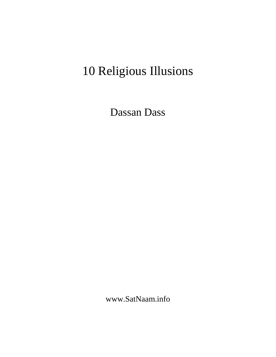# 10 Religious Illusions

Dassan Dass

www.SatNaam.info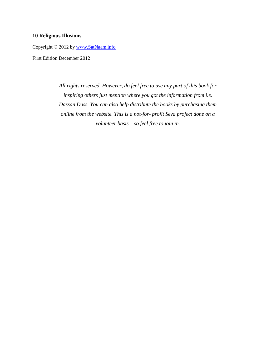#### **10 Religious Illusions**

Copyright © 2012 by [www.SatNaam.info](http://www.satnaam.info/)

First Edition December 2012

*All rights reserved. However, do feel free to use any part of this book for inspiring others just mention where you got the information from i.e. Dassan Dass. You can also help distribute the books by purchasing them online from the website. This is a not-for- profit Seva project done on a volunteer basis – so feel free to join in.*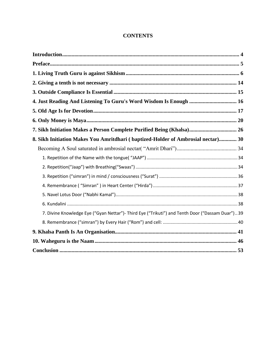#### **CONTENTS**

| 4. Just Reading And Listening To Guru's Word Wisdom Is Enough  16                               |  |
|-------------------------------------------------------------------------------------------------|--|
|                                                                                                 |  |
|                                                                                                 |  |
| 7. Sikh Initiation Makes a Person Complete Purified Being (Khalsa) 26                           |  |
| 8. Sikh Initiation Makes You Amritdhari (baptized-Holder of Ambrosial nectar) 30                |  |
|                                                                                                 |  |
|                                                                                                 |  |
|                                                                                                 |  |
|                                                                                                 |  |
|                                                                                                 |  |
|                                                                                                 |  |
|                                                                                                 |  |
| 7. Divine Knowledge Eye ("Gyan Nettar")- Third Eye ("Trikuti") and Tenth Door ("Dassam Duar")39 |  |
|                                                                                                 |  |
|                                                                                                 |  |
|                                                                                                 |  |
|                                                                                                 |  |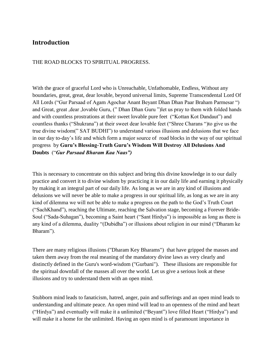#### <span id="page-3-0"></span>**Introduction**

#### THE ROAD BLOCKS TO SPIRITUAL PROGRESS.

With the grace of graceful Lord who is Unreachable, Unfathomable, Endless, Without any boundaries, great, great, dear lovable, beyond universal limits, Supreme Transcendental Lord Of All Lords ("Gur Parsaad of Agam Agochar Anant Beyant Dhan Dhan Paar Braham Parmesar ") and Great, great ,dear ,lovable Guru, (" Dhan Dhan Guru ")let us pray to them with folded hands and with countless prostrations at their sweet lovable pure feet ("Kottan Kot Dandaut") and countless thanks ("Shukrana") at their sweet dear lovable feet ("Shree Charans ")to give us the true divine wisdom(" SAT BUDHI") to understand various illusions and delusions that we face in our day to-day's life and which form a major source of road blocks in the way of our spiritual progress by **Guru's Blessing-Truth Guru's Wisdom Will Destroy All Delusions And Doubts** ("*Gur Parsaad Bharam Kaa Naas")*

This is necessary to concentrate on this subject and bring this divine knowledge in to our daily practice and convert it to divine wisdom by practicing it in our daily life and earning it physically by making it an integral part of our daily life. As long as we are in any kind of illusions and delusions we will never be able to make a progress in our spiritual life, as long as we are in any kind of dilemma we will not be able to make a progress on the path to the God's Truth Court ("SachKhand"), reaching the Ultimate, reaching the Salvation stage, becoming a Forever Bride-Soul ("Sada-Suhagan"), becoming a Saint heart ("Sant Hirdya") is impossible as long as there is any kind of a dilemma, duality "(Dubidha") or illusions about religion in our mind ("Dharam ke Bharam").

There are many religious illusions ("Dharam Key Bharams") that have gripped the masses and taken them away from the real meaning of the mandatory divine laws as very clearly and distinctly defined in the Guru's word-wisdom ("Gurbani"). These illusions are responsible for the spiritual downfall of the masses all over the world. Let us give a serious look at these illusions and try to understand them with an open mind.

Stubborn mind leads to fanaticism, hatred, anger, pain and sufferings and an open mind leads to understanding and ultimate peace. An open mind will lead to an openness of the mind and heart ("Hirdya") and eventually will make it a unlimited ("Beyant") love filled Heart ("Hirdya") and will make it a home for the unlimited. Having an open mind is of paramount importance in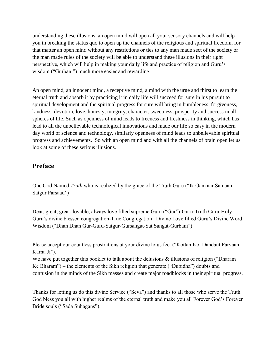understanding these illusions, an open mind will open all your sensory channels and will help you in breaking the status quo to open up the channels of the religious and spiritual freedom, for that matter an open mind without any restrictions or ties to any man made sect of the society or the man made rules of the society will be able to understand these illusions in their right perspective, which will help in making your daily life and practice of religion and Guru's wisdom ("Gurbani") much more easier and rewarding.

An open mind, an innocent mind, a receptive mind, a mind with the urge and thirst to learn the eternal truth and absorb it by practicing it in daily life will succeed for sure in his pursuit to spiritual development and the spiritual progress for sure will bring in humbleness, forgiveness, kindness, devotion, love, honesty, integrity, character, sweetness, prosperity and success in all spheres of life. Such as openness of mind leads to freeness and freshness in thinking, which has lead to all the unbelievable technological innovations and made our life so easy in the modern day world of science and technology, similarly openness of mind leads to unbelievable spiritual progress and achievements. So with an open mind and with all the channels of brain open let us look at some of these serious illusions.

## <span id="page-4-0"></span>**Preface**

One God Named *Truth* who is realized by the grace of the Truth Guru ("Ik Oankaar Satnaam Satgur Parsaad")

Dear, great, great, lovable, always love filled supreme Guru ("Gur")-Guru-Truth Guru-Holy Guru's divine blessed congregation-True Congregation –Divine Love filled Guru's Divine Word Wisdom ("Dhan Dhan Gur-Guru-Satgur-Gursangat-Sat Sangat-Gurbani")

Please accept our countless prostrations at your divine lotus feet ("Kottan Kot Dandaut Parvaan Karna Ji").

We have put together this booklet to talk about the delusions & illusions of religion ("Dharam") Ke Bharam") – the elements of the Sikh religion that generate ("Dubidha") doubts and confusion in the minds of the Sikh masses and create major roadblocks in their spiritual progress.

Thanks for letting us do this divine Service ("Seva") and thanks to all those who serve the Truth. God bless you all with higher realms of the eternal truth and make you all Forever God's Forever Bride souls ("Sada Suhagans").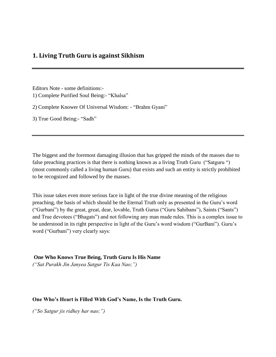#### <span id="page-5-0"></span>**1. Living Truth Guru is against Sikhism**

Editors Note - some definitions:- 1) Complete Purified Soul Being:- "Khalsa"

2) Complete Knower Of Universal Wisdom: - "Brahm Gyani"

3) True Good Being:- "Sadh"

The biggest and the foremost damaging illusion that has gripped the minds of the masses due to false preaching practices is that there is nothing known as a living Truth Guru ("Satguru ") (most commonly called a living human Guru) that exists and such an entity is strictly prohibited to be recognized and followed by the masses.

This issue takes even more serious face in light of the true divine meaning of the religious preaching, the basis of which should be the Eternal Truth only as presented in the Guru's word ("Gurbani") by the great, great, dear, lovable, Truth Gurus ("Guru Sahibans"), Saints ("Sants") and True devotees ("Bhagats") and not following any man made rules. This is a complex issue to be understood in its right perspective in light of the Guru's word wisdom ("GurBani"). Guru's word ("Gurbani") very clearly says:

**One Who Knows True Being, Truth Guru Is His Name**

*("Sat Purakh Jin Janyea Satgur Tis Kaa Nao;")*

#### **One Who's Heart is Filled With God's Name, Is the Truth Guru.**

*("So Satgur jis ridhey har nao;")*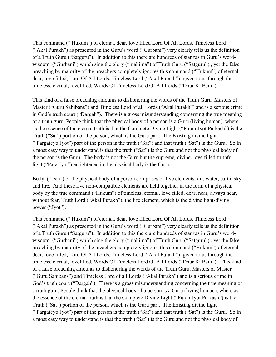This command (" Hukum") of eternal, dear, love filled Lord Of All Lords, Timeless Lord ("Akal Purakh") as presented in the Guru's word ("Gurbani") very clearly tells us the definition of a Truth Guru ("Satguru"). In addition to this there are hundreds of stanzas in Guru's wordwisdom ("Gurbani") which sing the glory ("mahima") of Truth Guru ("Satguru"), yet the false preaching by majority of the preachers completely ignores this command ("Hukum") of eternal, dear, love filled, Lord Of All Lords, Timeless Lord ("Akal Purakh") given to us through the timeless, eternal, lovefilled, Words Of Timeless Lord Of All Lords ("Dhur Ki Bani").

This kind of a false preaching amounts to dishonoring the words of the Truth Guru, Masters of Master ("Guru Sahibans") and Timeless Lord of all Lords ("Akal Purakh") and is a serious crime in God's truth court ("Dargah"). There is a gross misunderstanding concerning the true meaning of a truth guru. People think that the physical body of a person is a Guru (living human), where as the essence of the eternal truth is that the Complete Divine Light ("Puran Jyot Parkash") is the Truth ("Sat") portion of the person, which is the Guru part. The Existing divine light ("Pargateyo Jyot") part of the person is the truth ("Sat") and that truth ("Sat") is the Guru. So in a most easy way to understand is that the truth ("Sat") is the Guru and not the physical body of the person is the Guru. The body is not the Guru but the supreme, divine, love filled truthful light ("Para Jyot") enlightened in the physical body is the Guru.

Body ("Deh") or the physical body of a person comprises of five elements: air, water, earth, sky and fire. And these five non-compatible elements are held together in the form of a physical body by the true command ("Hukum") of timeless, eternal, love filled, dear, near, always near, without fear, Truth Lord ("Akal Purakh"), the life element, which is the divine light-divine power ("Jyot").

This command (" Hukum") of eternal, dear, love filled Lord Of All Lords, Timeless Lord ("Akal Purakh") as presented in the Guru's word ("Gurbani") very clearly tells us the definition of a Truth Guru ("Satguru"). In addition to this there are hundreds of stanzas in Guru's wordwisdom ("Gurbani") which sing the glory ("mahima") of Truth Guru ("Satguru"), yet the false preaching by majority of the preachers completely ignores this command ("Hukum") of eternal, dear, love filled, Lord Of All Lords, Timeless Lord ("Akal Purakh") given to us through the timeless, eternal, lovefilled, Words Of Timeless Lord Of All Lords ("Dhur Ki Bani"). This kind of a false preaching amounts to dishonoring the words of the Truth Guru, Masters of Master ("Guru Sahibans") and Timeless Lord of all Lords ("Akal Purakh") and is a serious crime in God's truth court ("Dargah"). There is a gross misunderstanding concerning the true meaning of a truth guru. People think that the physical body of a person is a Guru (living human), where as the essence of the eternal truth is that the Complete Divine Light ("Puran Jyot Parkash") is the Truth ("Sat") portion of the person, which is the Guru part. The Existing divine light ("Pargateyo Jyot") part of the person is the truth ("Sat") and that truth ("Sat") is the Guru. So in a most easy way to understand is that the truth ("Sat") is the Guru and not the physical body of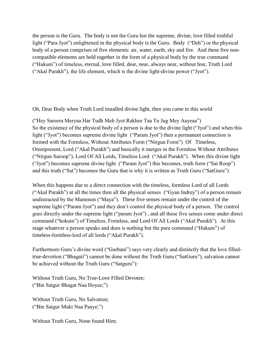the person is the Guru. The body is not the Guru but the supreme, divine, love filled truthful light ("Para Jyot") enlightened in the physical body is the Guru. Body ("Deh") or the physical body of a person comprises of five elements: air, water, earth, sky and fire. And these five noncompatible elements are held together in the form of a physical body by the true command ("Hukum") of timeless, eternal, love filled, dear, near, always near, without fear, Truth Lord ("Akal Purakh"), the life element, which is the divine light-divine power ("Jyot").

Oh, Dear Body when Truth Lord installed divine light, then you came to this world

("Hey Sareera Meryaa Har Tudh Meh Jyot Rakhee Taa Tu Jug Mey Aayeaa") So the existence of the physical body of a person is due to the divine light ("Jyot") and when this light ("Jyot") becomes supreme divine light ("Param Jyot") then a permanent connection is formed with the Formless, Without Attributes Form ("Nirgun Form") Of Timeless, Omnipresent, Lord ("Akal Purakh") and basically it merges in the Formless Without Attributes ("Nirgun Saroop"), Lord Of All Lords, Timeless Lord ("Akal Purakh"). When this divine light ("Jyot") becomes supreme divine light ("Param Jyot") this becomes, truth form ("Sat Roop") and this truth ("Sat") becomes the Guru that is why it is written as Truth Guru ("SatGuru")

When this happens due to a direct connection with the timeless, formless Lord of all Lords ("Akal Purakh") at all the times then all the physical senses ("Gyan Indrey") of a person remain undistracted by the Mammon ("Maya"). These five senses remain under the control of the supreme light ("Param Jyot") and they don't control the physical body of a person. The control goes directly under the supreme light ("param Jyot") , and all these five senses come under direct command ("hokum") of Timeless, Formless, and Lord Of All Lords ("Akal Purakh"). At this stage whatever a person speaks and does is nothing but the pure command ("Hukum") of timeless-formless-lord of all lords ("Akal Purakh").

Furthermore Guru's divine word ("Gurbani") says very clearly and distinctly that the love filledtrue-devotion ("Bhagati") cannot be done without the Truth Guru ("SatGuru"), salvation cannot be achieved without the Truth Guru ("Satguru"):

Without Truth Guru, No True-Love Filled Devotee; ("Bin Satgur Bhagat Naa Hoyee;")

Without Truth Guru, No Salvation; ("Bin Satgur Mukt Naa Paaye;")

Without Truth Guru, None found Him;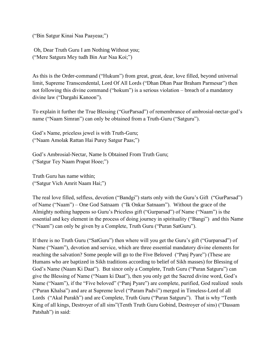("Bin Satgur Kinai Naa Paayeaa;")

Oh, Dear Truth Guru I am Nothing Without you; ("Mere Satgura Mey tudh Bin Aur Naa Koi;")

As this is the Order-command ("Hukum") from great, great, dear, love filled, beyond universal limit, Supreme Transcendental, Lord Of All Lords ("Dhan Dhan Paar Braham Parmesar") then not following this divine command ("hokum") is a serious violation – breach of a mandatory divine law ("Dargahi Kanoon").

To explain it further the True Blessing ("GurParsad") of remembrance of ambrosial-nectar-god's name ("Naam Simran") can only be obtained from a Truth-Guru ("Satguru").

God's Name, priceless jewel is with Truth-Guru; ("Naam Amolak Rattan Hai Purey Satgur Paas;")

God's Ambrosial-Nectar, Name Is Obtained From Truth Guru; ("Satgur Tey Naam Prapat Hoee;")

Truth Guru has name within; ("Satgur Vich Amrit Naam Hai;")

The real love filled, selfless, devotion ("Bandgi") starts only with the Guru's Gift ("GurParsad") of Name ("Naam") – One God Satnaam ("Ik Onkar Satnaam"). Without the grace of the Almighty nothing happens so Guru's Priceless gift ("Gurparsad") of Name ("Naam") is the essential and key element in the process of doing journey in spirituality ("Bangi") and this Name ("Naam") can only be given by a Complete, Truth Guru ("Puran SatGuru").

If there is no Truth Guru ("SatGuru") then where will you get the Guru's gift ("Gurparsad") of Name ("Naam"), devotion and service, which are three essential mandatory divine elements for reaching the salvation? Some people will go to the Five Beloved ("Panj Pyare") (These are Humans who are baptized in Sikh traditions according to belief of Sikh masses) for Blessing of God's Name (Naam Ki Daat"). But since only a Complete, Truth Guru ("Puran Satguru") can give the Blessing of Name ("Naam ki Daat"), then you only get the Sacred divine word, God's Name ("Naam"), if the "Five beloved" ("Panj Pyare") are complete, purified, God realized souls ("Puran Khalsa") and are at Supreme level ("Param Padvi") merged in Timeless-Lord of all Lords ("Akal Purakh") and are Complete, Truth Guru ("Puran Satguru"). That is why "Tenth King of all kings, Destroyer of all sins"(Tenth Truth Guru Gobind, Destroyer of sins) ("Dassam Patshah") in said: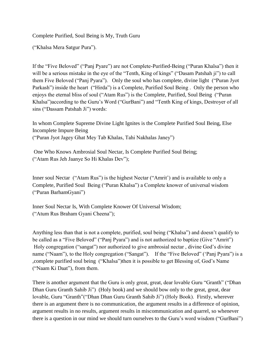Complete Purified, Soul Being is My, Truth Guru

("Khalsa Mera Satgur Pura").

If the "Five Beloved" ("Panj Pyare") are not Complete-Purified-Being ("Puran Khalsa") then it will be a serious mistake in the eye of the "Tenth, King of kings" ("Dasam Patshah ji") to call them Five Beloved ("Panj Pyara"). Only the soul who has complete, divine light ("Puran Jyot Parkash") inside the heart ("Hirda") is a Complete, Purified Soul Being . Only the person who enjoys the eternal bliss of soul ("Atam Rus") is the Complete, Purified, Soul Being ("Puran Khalsa")according to the Guru's Word ("GurBani") and "Tenth King of kings, Destroyer of all sins ("Dassam Patshah Ji") words:

In whom Complete Supreme Divine Light Ignites is the Complete Purified Soul Being, Else Incomplete Impure Being ("Puran Jyot Jagey Ghat Mey Tab Khalas, Tahi Nakhalas Janey")

One Who Knows Ambrosial Soul Nectar, Is Complete Purified Soul Being; ("Atam Rus Jeh Jaanye So Hi Khalas Dev");

Inner soul Nectar ("Atam Rus") is the highest Nectar ("Amrit') and is available to only a Complete, Purified Soul Being ("Puran Khalsa") a Complete knower of universal wisdom ("Puran BarhamGyani")

Inner Soul Nectar Is, With Complete Knower Of Universal Wisdom; ("Atum Rus Braham Gyani Cheena");

Anything less than that is not a complete, purified, soul being ("Khalsa") and doesn't qualify to be called as a "Five Beloved" ("Panj Pyara") and is not authorized to baptize (Give "Amrit") Holy congregation ("sangat") nor authorized to give ambrosial nectar , divine God's divine name ("Naam"), to the Holy congregation ("Sangat"). If the "Five Beloved" ('Panj Pyara'') is a ,complete purified soul being ("Khalsa")then it is possible to get Blessing of, God's Name ("Naam Ki Daat"), from them.

There is another argument that the Guru is only great, great, dear lovable Guru "Granth" ("Dhan Dhan Guru Granth Sahib Ji") (Holy book) and we should bow only to the great, great, dear lovable, Guru "Granth"("Dhan Dhan Guru Granth Sahib Ji") (Holy Book). Firstly, wherever there is an argument there is no communication, the argument results in a difference of opinion, argument results in no results, argument results in miscommunication and quarrel, so whenever there is a question in our mind we should turn ourselves to the Guru's word wisdom ("GurBani")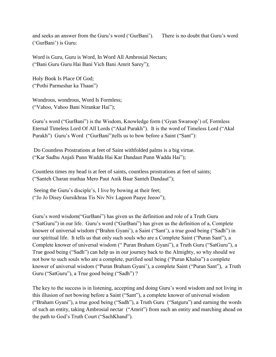and seeks an answer from the Guru's word ('GurBani'). There is no doubt that Guru's word ('GurBani') is Guru:

Word is Guru, Guru is Word, In Word All Ambrosial Nectars; ("Bani Guru Guru Hai Bani Vich Bani Amrit Sarey");

Holy Book Is Place Of God; ("Pothi Parmeshar ka Thaan")

Wondrous, wondrous, Word Is Formless; ("Vahoo, Vahoo Bani Nirankar Hai");

Guru's word ("GurBani") is the Wisdom, Knowledge form ('Gyan Swaroop') of, Formless Eternal Timeless Lord Of All Lords ("Akal Purakh"). It is the word of Timeless Lord ("Akal Purakh") Guru's Word ("GurBani")tells us to bow before a Saint ("Sant"):

Do Countless Prostrations at feet of Saint withfolded palms is a big virtue. ("Kar Sadhu Anjali Punn Wadda Hai Kar Dandaut Punn Wadda Hai");

Countless times my head is at feet of saints, countless prostrations at feet of saints; ("Santeh Charan mathaa Mero Paut Anik Baar Santeh Dandaut");

Seeing the Guru's disciple's, I live by bowing at their feet; ("Jo Jo Disey Gursikhraa Tis Niv Niv Lagoon Paaye Jeeoo");

Guru's word wisdom("GurBani") has given us the definition and role of a Truth Guru ("SatGuru") in our life. Guru's word ("GurBani") has given us the definition of a, Complete knower of universal wisdom ("Brahm Gyani'), a Saint ("Sant'), a true good being ("Sadh") in our spiritual life. It tells us that only such souls who are a Complete Saint ("Puran Sant"), a Complete knower of universal wisdom (" Puran Braham Gyani"), a Truth Guru ("SatGuru"), a True good being ("Sadh") can help us in our journey back to the Almighty, so why should we not bow to such souls who are a complete, purified soul being ("Puran Khalsa") a complete knower of universal wisdom ("Puran Braham Gyani'), a complete Saint ("Puran Sant"), a Truth Guru ("SatGuru"), a True good being ("Sadh") ?

The key to the success is in listening, accepting and doing Guru's word wisdom and not living in this illusion of not bowing before a Saint ("Sant"), a complete knower of universal wisdom ("Braham Gyani"), a true good being ("Sadh"), a Truth Guru ("Satguru") and earning the words of such an entity, taking Ambrosial nectar ("Amrit") from such an entity and marching ahead on the path to God's Truth Court ("SachKhand").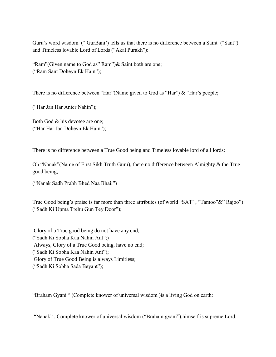Guru's word wisdom ("GurBani") tells us that there is no difference between a Saint ("Sant") and Timeless lovable Lord of Lords ("Akal Purakh"):

"Ram"(Given name to God as" Ram")& Saint both are one; ("Ram Sant Doheyn Ek Hain");

There is no difference between "Har"(Name given to God as "Har") & "Har's people;

("Har Jan Har Anter Nahin");

Both God & his devotee are one; ("Har Har Jan Doheyn Ek Hain");

There is no difference between a True Good being and Timeless lovable lord of all lords:

Oh "Nanak"(Name of First Sikh Truth Guru), there no difference between Almighty & the True good being;

("Nanak Sadh Prabh Bhed Naa Bhai;")

True Good being's praise is far more than three attributes (of world "SAT', "Tamoo"&" Rajoo") ("Sadh Ki Upma Trehu Gun Tey Door");

Glory of a True good being do not have any end; ("Sadh Ki Sobha Kaa Nahin Ant";) Always, Glory of a True Good being, have no end; ("Sadh Ki Sobha Kaa Nahin Ant"); Glory of True Good Being is always Limitless; ("Sadh Ki Sobha Sada Beyant");

"Braham Gyani " (Complete knower of universal wisdom )is a living God on earth:

"Nanak" , Complete knower of universal wisdom ("Braham gyani"),himself is supreme Lord;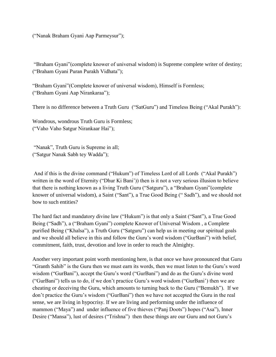("Nanak Braham Gyani Aap Parmeysur");

"Braham Gyani"(complete knower of universal wisdom) is Supreme complete writer of destiny; ("Braham Gyani Puran Purakh Vidhata");

"Braham Gyani"(Complete knower of universal wisdom), Himself is Formless; ("Braham Gyani Aap Nirankaraa");

There is no difference between a Truth Guru ("SatGuru") and Timeless Being ("Akal Purakh"):

Wondrous, wondrous Truth Guru is Formless; ("Vaho Vaho Satgur Nirankaar Hai");

"Nanak", Truth Guru is Supreme in all; ("Satgur Nanak Sabh tey Wadda");

And if this is the divine command ("Hukum") of Timeless Lord of all Lords ("Akal Purakh") written in the word of Eternity ("Dhur Ki Bani")) then is it not a very serious illusion to believe that there is nothing known as a living Truth Guru ("Satguru"), a "Braham Gyani"(complete knower of universal wisdom), a Saint ("Sant"), a True Good Being (" Sadh"), and we should not bow to such entities?

The hard fact and mandatory divine law ("Hukum") is that only a Saint ("Sant"), a True Good Being ("Sadh"), a ("Braham Gyani") complete Knower of Universal Wisdom , a Complete purified Being ("Khalsa"), a Truth Guru ("Satguru") can help us in meeting our spiritual goals and we should all believe in this and follow the Guru's word wisdom ("GurBani") with belief, commitment, faith, trust, devotion and love in order to reach the Almighty.

Another very important point worth mentioning here, is that once we have pronounced that Guru "Granth Sahib" is the Guru then we must earn its words, then we must listen to the Guru's word wisdom ("GurBani"), accept the Guru's word ("GurBani") and do as the Guru's divine word ("GurBani") tells us to do, if we don't practice Guru's word wisdom ("GurBani') then we are cheating or deceiving the Guru, which amounts to turning back to the Guru ("Bemukh"). If we don't practice the Guru's wisdom ("GurBani") then we have not accepted the Guru in the real sense, we are living in hypocrisy. If we are living and performing under the influence of mammon ("Maya") and under influence of five thieves ("Panj Doots") hopes ("Asa"), Inner Desire ("Mansa"), lust of desires ("Trishna") then these things are our Guru and not Guru's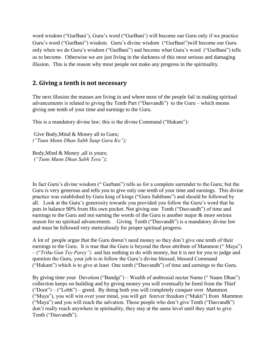word wisdom ("GurBani'), Guru's word ("GurBani') will become our Guru only if we practice Guru's word ("GurBani") wisdom. Guru's divine wisdom ("GurBani")will become our Guru only when we do Guru's wisdom ("GurBani") and become what Guru's word ("GurBani") tells us to become. Otherwise we are just living in the darkness of this most serious and damaging illusion. This is the reason why most people not make any progress in the spirituality.

## <span id="page-13-0"></span>**2. Giving a tenth is not necessary**

The next illusion the masses are living in and where most of the people fail in making spiritual advancements is related to giving the Tenth Part ("Dasvandh") to the Guru – which means giving one tenth of your time and earnings to the Guru.

This is a mandatory divine law; this is the divine Command ("Hukam"):

Give Body,Mind & Money all to Guru; *("Tunn Munn Dhan Sabh Saup Guru Ko");* 

Body,Mind & Money ,all is yours; *("Tunn Munn Dhan Sabh Tera")*;

In fact Guru's divine wisdom (" Gurbani") tells us for a complete surrender to the Guru; but the Guru is very generous and tells you to give only one tenth of your time and earnings. This divine practice was established by Guru king of kings ("Guru Sahibans") and should be followed by all. Look at the Guru's generosity towards you provided you follow the Guru's word that he puts in balance 90% from His own pocket. Not giving one Tenth ("Dasvandh") of time and earnings to the Guru and not earning the words of the Guru is another major & more serious reason for no spiritual advancement. Giving Tenth ("Dasvandh") is a mandatory divine law and must be followed very meticulously for proper spiritual progress.

A lot of people argue that the Guru doesn't need money so they don't give one tenth of their earnings to the Guru. It is true that the Guru is beyond the three attribute of Mammon ("Maya") – ("*Trihu Gun Tey Parey")* and has nothing to do with money, but it is not for you to judge and question the Guru, your job is to follow the Guru's divine blessed, blessed Command ("Hukam") which is to give at least One tenth ("Dasvandh") of time and earnings to the Guru.

By giving time your Devotion ("Bandgi") – Wealth of ambrosial nectar Name (" Naam Dhan") collection keeps on building and by giving money you will eventually be freed from the Thief ("Doot") – ("Lobh") – greed. By doing both you will completely conquer over Mammon ("Maya"), you will win over your mind, you will get forever freedom ("Mukti") from Mammon ("Maya") and you will reach the salvation. Those people who don't give Tenth ("Dasvandh") don't really reach anywhere in spirituality, they stay at the same level until they start to give Tenth ("Dasvandh").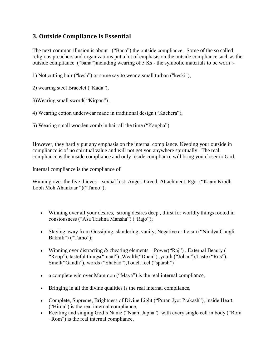## <span id="page-14-0"></span>**3. Outside Compliance Is Essential**

The next common illusion is about ("Bana") the outside compliance. Some of the so called religious preachers and organizations put a lot of emphasis on the outside compliance such as the outside compliance ("bana")including wearing of 5 Ks - the symbolic materials to be worn :-

1) Not cutting hair ("kesh") or some say to wear a small turban ("keski"),

2) wearing steel Bracelet ("Kada"),

3)Wearing small sword( "Kirpan") ,

4) Wearing cotton underwear made in traditional design ("Kachera"),

5) Wearing small wooden comb in hair all the time ("Kangha")

However, they hardly put any emphasis on the internal compliance. Keeping your outside in compliance is of no spiritual value and will not get you anywhere spiritually. The real compliance is the inside compliance and only inside compliance will bring you closer to God.

Internal compliance is the compliance of

Winning over the five thieves – sexual lust, Anger, Greed, Attachment, Ego ("Kaam Krodh Lobh Moh Ahankaar ")("Tamo");

- Winning over all your desires, strong desires deep , thirst for worldly things rooted in consiousness ("Asa Trishna Mansha") ("Rajo");
- Staying away from Gossiping, slandering, vanity, Negative criticism ("Nindya Chugli Bakhili") ("Tamo");
- Winning over distracting & cheating elements Power("Raj") , External Beauty ( "Roop"), tasteful things("maal") ,Wealth("Dhan") ,youth ("Joban"),Taste ("Rus"), Smell("Gandh"), words ("Shabad"),Touch feel ("sparsh")
- a complete win over Mammon ("Maya") is the real internal compliance,
- Bringing in all the divine qualities is the real internal compliance,
- Complete, Supreme, Brightness of Divine Light ("Puran Jyot Prakash"), inside Heart ("Hirda") is the real internal compliance,
- Reciting and singing God's Name ("Naam Japna") with every single cell in body ("Rom –Rom") is the real internal compliance,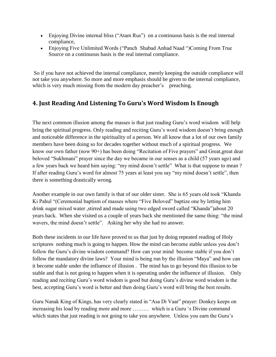- Enjoying Divine internal bliss ("Atam Rus") on a continuous basis is the real internal compliance,
- Enjoying Five Unlimited Words ("Panch Shabad Anhad Naad ")Coming From True Source on a continuous basis is the real internal compliance.

So if you have not achieved the internal compliance, merely keeping the outside compliance will not take you anywhere. So more and more emphasis should be given to the internal compliance, which is very much missing from the modern day preacher's preaching.

## <span id="page-15-0"></span>**4. Just Reading And Listening To Guru's Word Wisdom Is Enough**

The next common illusion among the masses is that just reading Guru's word wisdom will help bring the spiritual progress. Only reading and reciting Guru's word wisdom doesn't bring enough and noticeable difference in the spirituality of a person. We all know that a lot of our own family members have been doing so for decades together without much of a spiritual progress. We know our own father (now 90+) has been doing "Recitation of Five prayers" and Great,great dear beloved "Sukhmani" prayer since the day we became in our senses as a child (57 years ago) and a few years back we heard him saying: "my mind doesn't settle" What is that suppose to mean ? If after reading Guru's word for almost 75 years at least you say "my mind doesn't settle", then there is something drastically wrong.

Another example in our own family is that of our older sister. She is 65 years old took "Khanda Ki Pahul "(Ceremonial baptism of masses where "Five Beloved" baptize one by letting him drink sugar mixed water ,stirred and made using two edged sword called "Khanda")about 20 years back. When she visited us a couple of years back she mentioned the same thing: "the mind wavers, the mind doesn't settle". Asking her why she had no answer.

Both these incidents in our life have proved to us that just by doing repeated reading of Holy scriptures nothing much is going to happen. How the mind can become stable unless you don't follow the Guru's divine wisdom command? How can your mind become stable if you don't follow the mandatory divine laws? Your mind is being run by the illusion "Maya" and how can it become stable under the influence of illusion . The mind has to go beyond this illusion to be stable and that is not going to happen when it is operating under the influence of illusion. Only reading and reciting Guru's word wisdom is good but doing Guru's divine word wisdom is the best, accepting Guru's word is better and then doing Guru's word will bring the best results.

Guru Nanak King of Kings, has very clearly stated in "Asa Di Vaar" prayer: Donkey keeps on increasing his load by reading more and more ……… which is a Guru 's Divine command which states that just reading is not going to take you anywhere. Unless you earn the Guru's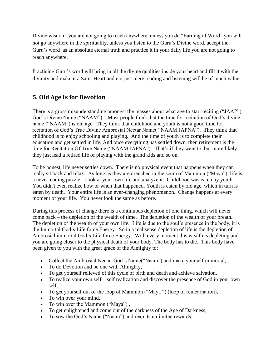Divine wisdom you are not going to reach anywhere, unless you do "Earning of Word" you will not go anywhere in the spirituality, unless you listen to the Guru's Divine word, accept the Guru's word as an absolute eternal truth and practice it in your daily life you are not going to reach anywhere.

Practicing Guru's word will bring in all the divine qualities inside your heart and fill it with the divinity and make it a Saint Heart and not just mere reading and listening will be of much value.

## <span id="page-16-0"></span>**5. Old Age Is for Devotion**

There is a gross misunderstanding amongst the masses about what age to start reciting ("JAAP") God's Divine Name ("NAAM"). Most people think that the time for recitation of God's divine name ("NAAM") is old age. They think that childhood and youth is not a good time for recitation of God's True Divine Ambrosial Nectar Name( "NAAM JAPNA"). They think that childhood is to enjoy schooling and playing. And the time of youth is to complete their education and get settled in life. And once everything has settled down, then retirement is the time for Recitation Of True Name ("NAAM JAPNA"). That's if they want to, but more likely they just lead a retired life of playing with the grand kids and so on.

To be honest, life never settles down. There is no physical event that happens when they can really sit back and relax. As long as they are drenched in the scum of Mammon ("Maya"), life is a never-ending puzzle. Look at your own life and analyze it. Childhood was eaten by youth. You didn't even realize how or when that happened. Youth is eaten by old age, which in turn is eaten by death. Your entire life is an ever-changing phenomenon. Change happens at every moment of your life. You never look the same as before.

During this process of change there is a continuous depletion of one thing, which will never come back – the depletion of the wealth of time. The depletion of the wealth of your breath. The depletion of the wealth of your own life. Life is due to the soul's presence in the body, it is the Immortal God's Life force Energy. So in a real sense depletion of life is the depletion of Ambrosial immortal God's Life force Energy. With every moment this wealth is depleting and you are going closer to the physical death of your body. The body has to die. This body have been given to you with the great grace of the Almighty to:

- Collect the Ambrosial Nectar God's Name("Naam") and make yourself immortal,
- To do Devotion and be one with Almighty,
- To get yourself relieved of this cycle of birth and death and achieve salvation,
- To realize your own self self realization and discover the presence of God in your own self,
- To get yourself out of the loop of Mammon ("Maya ") (loop of reincarnation),
- To win over your mind,
- To win over the Mammon ("Maya"),
- To get enlightened and come out of the darkness of the Age of Darkness,
- To sow the God's Name ("Naam") and reap its unlimited rewards,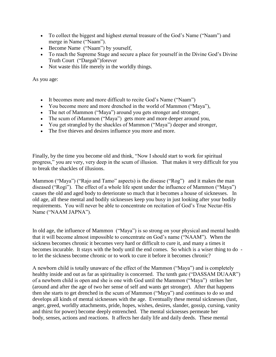- To collect the biggest and highest eternal treasure of the God's Name ("Naam") and merge in Name ("Naam").
- Become Name ("Naam") by yourself,
- To reach the Supreme Stage and secure a place for yourself in the Divine God's Divine Truth Court ("Dargah")forever
- Not waste this life merely in the worldly things.

As you age:

- It becomes more and more difficult to recite God's Name ("Naam")
- You become more and more drenched in the world of Mammon ("Maya"),
- The net of Mammon ("Maya") around you gets stronger and stronger,
- The scum of iMammon ("Maya") gets more and more deeper around you,
- You get strangled by the shackles of Mammon ("Maya") deeper and stronger,
- The five thieves and desires influence you more and more.

Finally, by the time you become old and think, "Now I should start to work for spiritual progress," you are very, very deep in the scum of illusion. That makes it very difficult for you to break the shackles of illusions.

Mammon ("Maya") ("Rajo and Tamo" aspects) is the disease ("Rog") and it makes the man diseased ("Rogi"). The effect of a whole life spent under the influence of Mammon ("Maya") causes the old and aged body to deteriorate so much that it becomes a house of sicknesses. In old age, all these mental and bodily sicknesses keep you busy in just looking after your bodily requirements. You will never be able to concentrate on recitation of God's True Nectar-His Name ("NAAM JAPNA").

In old age, the influence of Mammon ("Maya") is so strong on your physical and mental health that it will become almost impossible to concentrate on God's name ("NAAM"). When the sickness becomes chronic it becomes very hard or difficult to cure it, and many a times it becomes incurable. It stays with the body until the end comes. So which is a wiser thing to do to let the sickness become chronic or to work to cure it before it becomes chronic?

A newborn child is totally unaware of the effect of the Mammon ("Maya") and is completely healthy inside and out as far as spirituality is concerned. The tenth gate ("DASSAM DUAAR") of a newborn child is open and she is one with God until the Mammon ("Maya") strikes her (around and after the age of two her sense of self and wants get stronger). After that happens then she starts to get drenched in the scum of Mammon ("Maya") and continues to do so and develops all kinds of mental sicknesses with the age. Eventually these mental sicknesses (lust, anger, greed, worldly attachments, pride, hopes, wishes, desires, slander, gossip, cursing, vanity and thirst for power) become deeply entrenched. The mental sicknesses permeate her body, senses, actions and reactions. It affects her daily life and daily deeds. These mental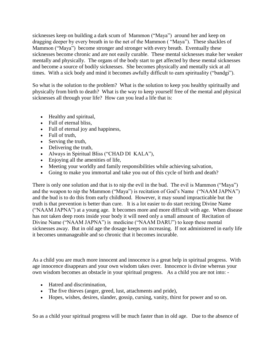sicknesses keep on building a dark scum of Mammon ("Maya") around her and keep on dragging deeper by every breath in to the net of the Mammon ( "Maya"). These shackles of Mammon ("Maya") become stronger and stronger with every breath. Eventually these sicknesses become chronic and are not easily curable. These mental sicknesses make her weaker mentally and physically. The organs of the body start to get affected by these mental sicknesses and become a source of bodily sicknesses. She becomes physically and mentally sick at all times. With a sick body and mind it becomes awfully difficult to earn spirituality ("bandgi").

So what is the solution to the problem? What is the solution to keep you healthy spiritually and physically from birth to death? What is the way to keep yourself free of the mental and physical sicknesses all through your life? How can you lead a life that is:

- Healthy and spiritual,
- Full of eternal bliss.
- Full of eternal joy and happiness,
- Full of truth,
- Serving the truth,
- Delivering the truth,
- Always in Spiritual Bliss ("CHAD DI KALA"),
- Enjoying all the amenities of life,
- Meeting your worldly and family responsibilities while achieving salvation,
- Going to make you immortal and take you out of this cycle of birth and death?

There is only one solution and that is to nip the evil in the bud. The evil is Mammon ("Maya") and the weapon to nip the Mammon ("Maya") is recitation of God's Name ("NAAM JAPNA") and the bud is to do this from early childhood. However, it may sound impracticable but the truth is that prevention is better than cure. It is a lot easier to do start reciting Divine Name ("NAAM JAPNA") at a young age. It becomes more and more difficult with age. When disease has not taken deep roots inside your body it will need only a small amount of Recitation of Divine Name ("NAAM JAPNA") is medicine ("NAAM DARU") to keep these mental sicknesses away. But in old age the dosage keeps on increasing. If not administered in early life it becomes unmanageable and so chronic that it becomes incurable.

As a child you are much more innocent and innocence is a great help in spiritual progress. With age innocence disappears and your own wisdom takes over. Innocence is divine whereas your own wisdom becomes an obstacle in your spiritual progress. As a child you are not into: -

- Hatred and discrimination,
- The five thieves (anger, greed, lust, attachments and pride),
- Hopes, wishes, desires, slander, gossip, cursing, vanity, thirst for power and so on.

So as a child your spiritual progress will be much faster than in old age. Due to the absence of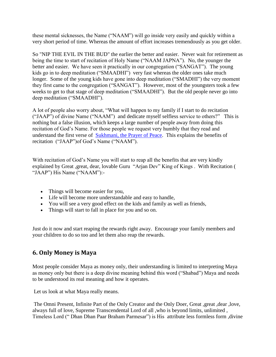these mental sicknesses, the Name ("NAAM") will go inside very easily and quickly within a very short period of time. Whereas the amount of effort increases tremendously as you get older.

So "NIP THE EVIL IN THE BUD" the earlier the better and easier. Never wait for retirement as being the time to start of recitation of Holy Name ("NAAM JAPNA"). No, the younger the better and easier. We have seen it practically in our congregation ("SANGAT"). The young kids go in to deep meditation ("SMAADHI") very fast whereas the older ones take much longer. Some of the young kids have gone into deep meditation ("SMADHI") the very moment they first came to the congregation ("SANGAT"). However, most of the youngsters took a few weeks to get to that stage of deep meditation ("SMAADHI"). But the old people never go into deep meditation ("SMAADHI").

A lot of people also worry about, "What will happen to my family if I start to do recitation ("JAAP") of divine Name ("NAAM") and dedicate myself selfless service to others?" This is nothing but a false illusion, which keeps a large number of people away from doing this recitation of God's Name. For those people we request very humbly that they read and understand the first verse of [Sukhmani, the Prayer of Peace.](http://www.satnaam.info/index.php?option=com_content&task=view&id=241&Itemid=31) This explains the benefits of recitation ("JAAP")of God's Name ("NAAM").

With recitation of God's Name you will start to reap all the benefits that are very kindly explained by Great ,great, dear, lovable Guru "Arjan Dev" King of Kings . With Recitation ( "JAAP") His Name ("NAAM"):-

- Things will become easier for you,
- Life will become more understandable and easy to handle,
- You will see a very good effect on the kids and family as well as friends,
- Things will start to fall in place for you and so on.

Just do it now and start reaping the rewards right away. Encourage your family members and your children to do so too and let them also reap the rewards.

## <span id="page-19-0"></span>**6. Only Money is Maya**

Most people consider Maya as money only, their understanding is limited to interpreting Maya as money only but there is a deep divine meaning behind this word ("Shabad") Maya and needs to be understood its real meaning and how it operates.

Let us look at what Maya really means.

The Omni Present, Infinite Part of the Only Creator and the Only Doer, Great ,great ,dear ,love, always full of love, Supreme Transcendental Lord of all ,who is beyond limits, unlimited , Timeless Lord (" Dhan Dhan Paar Braham Parmesar") is His attribute less formless form ,divine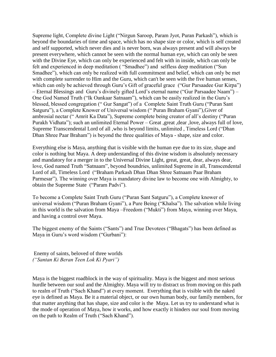Supreme light, Complete divine Light ("Nirgun Saroop, Param Jyot, Puran Parkash"), which is beyond the boundaries of time and space, which has no shape size or color, which is self created and self supported, which never dies and is never born, was always present and will always be present everywhere, which cannot be seen with the normal human eye, which can only be seen with the Divine Eye, which can only be experienced and felt with in inside, which can only be felt and experienced in deep meditation ( "Smadhee") and selfless deep meditation ("Sun Smadhee"), which can only be realized with full commitment and belief, which can only be met with complete surrender to Him and the Guru, which can't be seen with the five human senses, which can only be achieved through Guru's Gift of graceful grace ("Gur Parsaadee Gur Kirpa") – Eternal Blessings and Guru's divinely gifted Lord's eternal name ("Gur Parsaadee Naam") – One God Named Truth ("Ik Oankaar Satnaam"), which can be easily realized in the Guru's blessed, blessed congregation (" Gur Sangat") of a Complete Saint Truth Guru ("Puran Sant Satguru"), a Complete Knower of Universal wisdom (" Puran Braham Gyani"),Giver of ambrosial nectar (" Amrit Ka Data"), Supreme complete being creator of all's destiny ("Puran Purakh Vidhata"); such an unlimited Eternal Power – Great ,great ,dear ,love, always full of love, Supreme Transcendental Lord of all ,who is beyond limits, unlimited , Timeless Lord ("Dhan Dhan Shree Paar Braham") is beyond the three qualities of Maya - shape, size and color.

Everything else is Maya, anything that is visible with the human eye due to its size, shape and color is nothing but Maya. A deep understanding of this divine wisdom is absolutely necessary and mandatory for a merger in to the Universal Divine Light, great, great, dear, always dear, love, God named Truth "Satnaam", beyond boundries, unlimited Supreme in all, Transcendental Lord of all, Timeless Lord ("Braham Parkash Dhan Dhan Shree Satnaam Paar Braham Parmesar"). The winning over Maya is mandatory divine law to become one with Almighty, to obtain the Supreme State ("Param Padvi").

To become a Complete Saint Truth Guru ("Puran Sant Satguru"), a Complete knower of universal wisdom ("Puran Braham Gyani"), a Pure Being ("Khalsa"). The salvation while living in this world is the salvation from Maya –Freedom ("Mukti") from Maya, winning over Maya, and having a control over Maya.

The biggest enemy of the Saints ("Sants") and True Devotees ("Bhagats") has been defined as Maya in Guru's word wisdom ("Gurbani"):

Enemy of saints, beloved of three worlds *("Santan Ki Beran Teen Lok Ki Pyari")*

Maya is the biggest roadblock in the way of spirituality. Maya is the biggest and most serious hurdle between our soul and the Almighty. Maya will try to distract us from moving on this path to realm of Truth ("Sach Khand") at every moment. Everything that is visible with the naked eye is defined as Maya. Be it a material object, or our own human body, our family members, for that matter anything that has shape, size and color is the Maya. Let us try to understand what is the mode of operation of Maya, how it works, and how exactly it hinders our soul from moving on the path to Realm of Truth ("Sach Khand").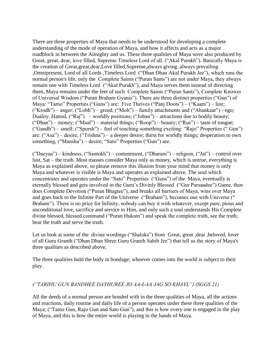There are three properties of Maya that needs to be understood for developing a complete understanding of the mode of operation of Maya, and how it affects and acts as a major roadblock in between the Almighty and us. These three qualities of Maya were also produced by Great, great, dear, love filled, Supreme Timeless Lord of all. ("Akal Purakh"). Basically Maya is the creation of Great,great,dear,Love filled,Supreme,always giving ,always prevailing ,Omnipresent, Lord of all Lords ,Timeless Lord ("Dhan Dhan Akal Purakh Jee"), which runs the normal person's life, only the Complete Saints ("Puran Sants") are not under Maya, they always remain one with Timeless Lord ("Akal Purakh"), and Maya serves them instead of directing them, Maya remains under the feet of such Complete Saints ("Puran Sants"), Complete Knower of Universal Wisdom ("Puran Braham Gyanis"). There are three distinct properties ("Gun") of Maya: "Tamo" Properties ("Guns") are: Five Theives ("Panj Doots") – ("Kaam") – lust; ("Krodh") – anger; ("Lobh") – greed; ("Moh") – family attachments and ("Ahankaar") - ego; Duality, Hatred, ("Raj") – worldly positions; ("Joban") – attractions due to bodily beauty; ("Dhan") – money; ("Maal") – material things; ("Roop") – beauty; ("Rus") – taste of tongue; ("Gandh") – smell; ("Spursh") – feel of touching something exciting: "Rajo" Properties (" Gun") are: ("Asa") – desire; ("Trishna") – a deeper desire; thirst for worldly things; desperation to own something, ("Mansha") – desire; "Sato" Properties ("Gun") are:

("Daeyaa") – kindness, ("Santokh") – contentment, ("Dharam") – religion, ("Jat") – control over lust, Sat – the truth. Most masses consider Maya only as money, which is untrue, everything is Maya as explained above, so please remove this illusion from your mind that money is only Maya and whatever is visible is Maya and operates as explained above. The soul which concentrates and operates under the "Sato" Properties ("Guns") of the Maya, eventually is eternally blessed and gets involved in the Guru's Divinly Blessed ("Gur Parsaadee") Game, then does Complete Devotion ("Puran Bhagtee"), and breaks all barriers of Maya, wins over Maya and goes back to the Infinite Part of the Universe ("Braham"), becomes one with Universe (" Braham"). There is no price for Infinity, nobody can buy it with whatever, except pure, pious and unconditional love, sacrifice and service to Him, and only such a soul understands His Complete divine blessed, blessed command ("Puran Hukam") and speak the complete truth, see the truth, hear the truth and serve the truth.

Let us look at some of the divine wordings ("Shaloks") from Great, great ,dear ,beloved, lover of all Guru Granth ("Dhan Dhan Shree Guru Granth Sahib Jee") that tell us the story of Maya's three qualities as described above;

The three qualities hold the body in bondage; whoever comes into the world is subject to their play.

#### *("TARIHU GUN BANDHEE DAYHUREE JO AA-I-AA JAG SO KHAYL") (SGGS 21)*

All the deeds of a normal person are bonded with in the three qualities of Maya, all the actions and reactions, daily routine and daily life of a person operates under these three qualities of the Maya; ("Tamo Gun, Rajo Gun and Sato Gun"), and this is how every one is engaged in the play of Maya, and this is how the entire world is playing in the hands of Maya.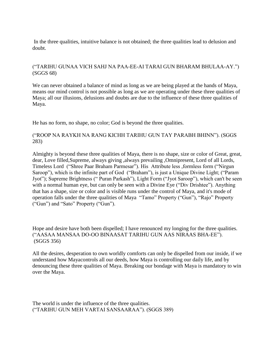In the three qualities, intuitive balance is not obtained; the three qualities lead to delusion and doubt.

#### ("TARIHU GUNAA VICH SAHJ NA PAA-EE-AI TARAI GUN BHARAM BHULAA-AY.") (SGGS 68)

We can never obtained a balance of mind as long as we are being played at the hands of Maya, means our mind control is not possible as long as we are operating under these three qualities of Maya; all our illusions, delusions and doubts are due to the influence of these three qualities of Maya.

He has no form, no shape, no color; God is beyond the three qualities.

#### ("ROOP NA RAYKH NA RANG KICHH TARIHU GUN TAY PARABH BHINN"). (SGGS 283)

Almighty is beyond these three qualities of Maya, there is no shape, size or color of Great, great, dear, Love filled,Supreme, always giving ,always prevailing ,Omnipresent, Lord of all Lords, Timeless Lord ("Shree Paar Braham Parmesar"). His Attribute less ,formless form ("Nirgun Saroop"), which is the infinite part of God ("Braham"), is just a Unique Divine Light; ("Param Jyot"); Supreme Brightness (" Puran Parkash"), Light Form ("Jyot Saroop"), which can't be seen with a normal human eye, but can only be seen with a Divine Eye ("Div Drishtee"). Anything that has a shape, size or color and is visible runs under the control of Maya, and it's mode of operation falls under the three qualities of Maya "Tamo" Property ("Gun"), "Rajo" Property ("Gun") and "Sato" Property ("Gun").

Hope and desire have both been dispelled; I have renounced my longing for the three qualities. ("AASAA MANSAA DO-OO BINAASAT TARIHU GUN AAS NIRAAS BHA-EE"). (SGGS 356)

All the desires, desperation to own worldly comforts can only be dispelled from our inside, if we understand how Mayacontrols all our deeds, how Maya is controlling our daily life, and by denouncing these three qualities of Maya. Breaking our bondage with Maya is mandatory to win over the Maya.

The world is under the influence of the three qualities. ("TARIHU GUN MEH VARTAI SANSAARAA"). (SGGS 389)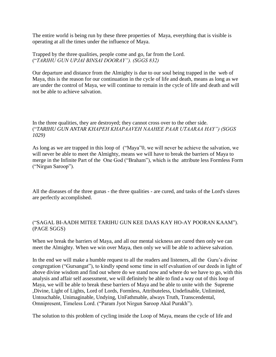The entire world is being run by these three properties of Maya, everything that is visible is operating at all the times under the influence of Maya.

Trapped by the three qualities, people come and go, far from the Lord. ("*TARIHU GUN UPJAI BINSAI DOORAY"). (SGGS 832)*

Our departure and distance from the Almighty is due to our soul being trapped in the web of Maya, this is the reason for our continuation in the cycle of life and death, means as long as we are under the control of Maya, we will continue to remain in the cycle of life and death and will not be able to achieve salvation.

In the three qualities, they are destroyed; they cannot cross over to the other side. ("*TARIHU GUN ANTAR KHAPEH KHAPAAVEH NAAHEE PAAR UTAARAA HAY") (SGGS 1029)*

As long as we are trapped in this loop of ("Maya"0, we will never be achieve the salvation, we will never be able to meet the Almighty, means we will have to break the barriers of Maya to merge in the Infinite Part of the One God ("Braham"), which is the attribute less Formless Form ("Nirgun Saroop").

All the diseases of the three gunas - the three qualities - are cured, and tasks of the Lord's slaves are perfectly accomplished.

#### ("SAGAL BI-AADH MITEE TARIHU GUN KEE DAAS KAY HO-AY POORAN KAAM"). (PAGE SGGS)

When we break the barriers of Maya, and all our mental sickness are cured then only we can meet the Almighty. When we win over Maya, then only we will be able to achieve salvation.

In the end we will make a humble request to all the readers and listeners, all the Guru's divine congregation ("Gursangat"), to kindly spend some time in self evaluation of our deeds in light of above divine wisdom and find out where do we stand now and where do we have to go, with this analysis and affair self assessment, we will definitely be able to find a way out of this loop of Maya, we will be able to break these barriers of Maya and be able to unite with the Supreme ,Divine, Light of Lights, Lord of Lords, Formless, Attributeless, Undefinable, Unlimited, Untouchable, Unimaginable, Undying, UnFathmable, always Truth, Transcendental, Omnipresent, Timeless Lord. ("Param Jyot Nirgun Saroop Akal Purakh").

The solution to this problem of cycling inside the Loop of Maya, means the cycle of life and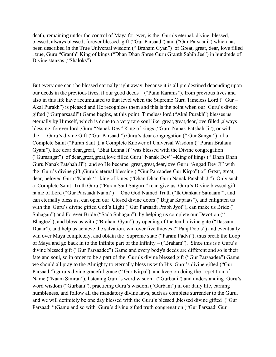death, remaining under the control of Maya for ever, is the Guru's eternal, divine, blessed, blessed, always blessed, forever blessed, gift ("Gur Parsaad") and ("Gur Parsaadi") which has been described in the True Universal wisdom (" Braham Gyan") of Great, great, dear, love filled , true, Guru "Granth" King of kings ("Dhan Dhan Shree Guru Granth Sahib Jee") in hundreds of Divine stanzas ("Shaloks").

But every one can't be blessed eternally right away, because it is all pre destined depending upon our deeds in the previous lives, if our good deeds – ("Punn Karams"), from previous lives and also in this life have accumulated to that level when the Supreme Guru Timeless Lord (" Gur – Akal Purakh") is pleased and He recognizes them and this is the point when our Guru's divine gifted ("Gurparsaadi") Game begins, at this point Timeless lord ("Akal Purakh") blesses us eternally by Himself, which is done to a very rare soul like great,great,dear,love filled ,always blessing, forever lord ,Guru "Nanak Dev" King of kings ("Guru Nanak Patshah Ji"), or with the Guru's divine Gift ("Gur Parsaadi") Guru's dear congregation (" Gur Sangat") of a Complete Saint ("Puran Sant"), a Complete Knower of Universal Wisdom (" Puran Braham Gyani"), like dear dear,great, "Bhai Lehna Ji" was blessed with the Divine congregation ("Gursangat") of dear,great,great,love filled Guru "Nanak Dev" –King of kings (" Dhan Dhan Guru Nanak Patshah Ji"), and so He became great,great,dear,love Guru "Angad Dev Ji" with the Guru's divine gift ,Guru's eternal blessing ( "Gur Parsaadee Gur Kirpa") of Great, great, dear, beloved Guru "Nanak " –king of kings ("Dhan Dhan Guru Nanak Patshah Ji"). Only such a Complete Saint Truth Guru ("Puran Sant Satguru") can give us Guru's Divine blessed gift name of Lord ("Gur Parsaadi Naam") – One God Named Truth ("Ik Oankaar Satnaam"), and can eternally bless us, can open our Closed divine doors ("Bajjar Kapaats"), and enlighten us with the Guru's divine gifted God's Light ("Gur Parsaadi Prabh Jyot"), can make us Bride (" Suhagan") and Forever Bride ("Sada Suhagan"), by helping us complete our Devotion (" Bhagtee"), and bless us with ("Braham Gyan") by opening of the tenth divine gate ("Dassam Duaar"), and help us achieve the salvation, win over five thieves ("Panj Doots") and eventually win over Maya completely, and obtain the Supreme state ("Param Padvi"), thus break the Loop of Maya and go back in to the Infinite part of the Infinity – ("Braham"). Since this is a Guru's divine blessed gift ("Gur Parsaadee") Game and every body's deeds are different and so is their fate and soul, so in order to be a part of the Guru's divine blessed gift ("Gur Parsaadee") Game, we should all pray to the Almighty to eternally bless us with His Guru's divine gifted ("Gur Parsaadi") guru's divine graceful grace ("Gur Kirpa"), and keep on doing the repetition of Name ("Naam Simran"), listening Guru's word wisdom ("Gurbani") and understanding Guru's word wisdom ("Gurbani"), practicing Guru's wisdom ("Gurbani") in our daily life, earning humbleness, and follow all the mandatory divine laws, such as complete surrender to the Guru, and we will definitely be one day blessed with the Guru's blessed ,blessed divine gifted ("Gur Parsaadi ")Game and so with Guru's divine gifted truth congregation ("Gur Parsaadi Gur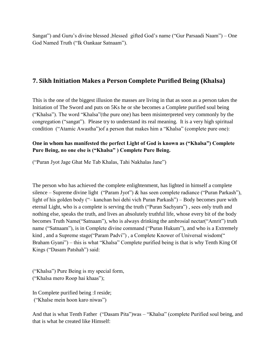Sangat") and Guru's divine blessed ,blessed gifted God's name ("Gur Parsaadi Naam") – One God Named Truth ("Ik Oankaar Satnaam").

## <span id="page-25-0"></span>**7. Sikh Initiation Makes a Person Complete Purified Being (Khalsa)**

This is the one of the biggest illusion the masses are living in that as soon as a person takes the Initiation of The Sword and puts on 5Ks he or she becomes a Complete purified soul being ("Khalsa"). The word "Khalsa"(the pure one) has been misinterpreted very commonly by the congregation ("sangat"). Please try to understand its real meaning. It is a very high spiritual condition ("Atamic Awastha")of a person that makes him a "Khalsa" (complete pure one):

#### **One in whom has manifested the perfect Light of God is known as ("Khalsa") Complete Pure Being, no one else is ("Khalsa" ) Complete Pure Being.**

("Puran Jyot Jage Ghat Me Tab Khalas, Tahi Nakhalas Jane")

The person who has achieved the complete enlightenment, has lighted in himself a complete silence – Supreme divine light ("Param Jyot") & has seen complete radiance ("Puran Parkash"), light of his golden body ("– kanchan hoi dehi vich Puran Parkash") – Body becomes pure with eternal Light, who is a complete is serving the truth ("Puran Sachyara") , sees only truth and nothing else, speaks the truth, and lives an absolutely truthful life, whose every bit of the body becomes Truth Name("Satnaam"), who is always drinking the ambrosial nectar("Amrit") truth name ("Satnaam"), is in Complete divine command ("Puran Hukum"), and who is a Extremely kind , and a Supreme stage("Param Padvi") , a Complete Knower of Universal wisdom(" Braham Gyani") – this is what "Khalsa" Complete purified being is that is why Tenth King Of Kings ("Dasam Patshah") said:

("Khalsa") Pure Being is my special form, ("Khalsa mero Roop hai khaas");

In Complete purified being :I reside; ("Khalse mein hoon karo niwas")

And that is what Tenth Father ("Dasam Pita")was – "Khalsa" (complete Purified soul being, and that is what he created like Himself: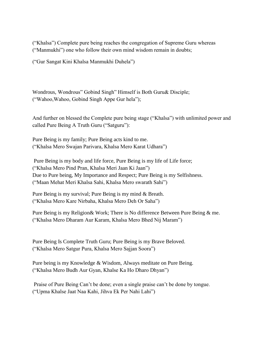("Khalsa") Complete pure being reaches the congregation of Supreme Guru whereas ("Manmukhi") one who follow their own mind wisdom remain in doubts;

("Gur Sangat Kini Khalsa Manmukhi Duhela")

Wondrous, Wondrous" Gobind Singh" Himself is Both Guru& Disciple; ("Wahoo,Wahoo, Gobind Singh Appe Gur hela");

And further on blessed the Complete pure being stage ("Khalsa") with unlimited power and called Pure Being A Truth Guru ("Satguru"):

Pure Being is my family; Pure Being acts kind to me. ("Khalsa Mero Swajan Parivara, Khalsa Mero Karat Udhara")

Pure Being is my body and life force, Pure Being is my life of Life force; ("Khalsa Mero Pind Pran, Khalsa Meri Jaan Ki Jaan") Due to Pure being, My Importance and Respect; Pure Being is my Selfishness. ("Maan Mehat Meri Khalsa Sahi, Khalsa Mero swarath Sahi")

Pure Being is my survival; Pure Being is my mind & Breath. ("Khalsa Mero Kare Nirbaha, Khalsa Mero Deh Or Saha")

Pure Being is my Religion& Work; There is No difference Between Pure Being & me. ("Khalsa Mero Dharam Aur Karam, Khalsa Mero Bhed Nij Maram")

Pure Being Is Complete Truth Guru; Pure Being is my Brave Beloved. ("Khalsa Mero Satgur Pura, Khalsa Mero Sajjan Soora")

Pure being is my Knowledge & Wisdom, Always meditate on Pure Being. ("Khalsa Mero Budh Aur Gyan, Khalse Ka Ho Dharo Dhyan")

Praise of Pure Being Can't be done; even a single praise can't be done by tongue. ("Upma Khalse Jaat Naa Kahi, Jihva Ek Per Nahi Lahi")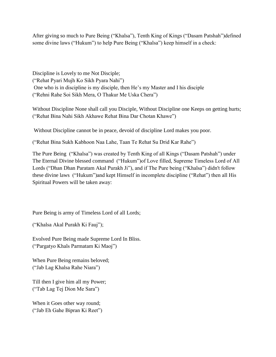After giving so much to Pure Being ("Khalsa"), Tenth King of Kings ("Dasam Patshah")defined some divine laws ("Hukum") to help Pure Being ("Khalsa") keep himself in a check:

Discipline is Lovely to me Not Disciple; ("Rehat Pyari Mujh Ko Sikh Pyara Nahi") One who is in discipline is my disciple, then He's my Master and I his disciple ("Rehni Rahe Soi Sikh Mera, O Thakur Me Uska Chera")

Without Discipline None shall call you Disciple, Without Discipline one Keeps on getting hurts; ("Rehat Bina Nahi Sikh Akhawe Rehat Bina Dar Chotan Khawe")

Without Discipline cannot be in peace, devoid of discipline Lord makes you poor.

("Rehat Bina Sukh Kabhoon Naa Lahe, Taan Te Rehat Su Drid Kar Rahe")

The Pure Being ("Khalsa") was created by Tenth King of all Kings ("Dasam Patshah") under The Eternal Divine blessed command ("Hukum")of Love filled, Supreme Timeless Lord of All Lords ("Dhan Dhan Paratam Akal Purakh Ji"), and if The Pure being ("Khalsa") didn't follow these divine laws ("Hukum")and kept Himself in incomplete discipline ("Rehat") then all His Spiritual Powers will be taken away:

Pure Being is army of Timeless Lord of all Lords;

("Khalsa Akal Purakh Ki Fauj");

Evolved Pure Being made Supreme Lord In Bliss. ("Pargatyo Khals Parmatam Ki Maoj")

When Pure Being remains beloved; ("Jab Lag Khalsa Rahe Niara")

Till then I give him all my Power; ("Tab Lag Tej Dion Me Sara")

When it Goes other way round; ("Jab Eh Gahe Bipran Ki Reet")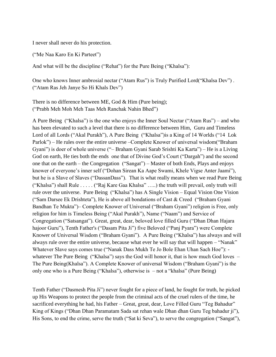I never shall never do his protection.

("Me Naa Karo En Ki Parteet")

And what will be the discipline ("Rehat") for the Pure Being ("Khalsa"):

One who knows Inner ambrosial nectar ("Atam Rus") is Truly Purified Lord("Khalsa Dev") . ("Atam Ras Jeh Janye So Hi Khals Dev")

There is no difference between ME, God & Him (Pure being); ("Prabh Meh Moh Meh Taas Meh Ranchak Nahin Bhed")

A Pure Being ("Khalsa") is the one who enjoys the Inner Soul Nectar ("Atam Rus") – and who has been elevated to such a level that there is no difference between Him, Guru and Timeless Lord of all Lords ("Akal Purakh"), A Pure Being ("Khalsa")is a King of 14 Worlds ("14 Lok Parlok") – He rules over the entire universe –Complete Knower of universal wisdom("Braham Gyani") is doer of whole universe ("– Braham Gyani Sarab Srishti Ka Karta") – He is a Living God on earth, He ties both the ends one that of Divine God's Court ("Dargah") and the second one that on the earth – the Congregation ("Sangat") – Master of both Ends, Plays and enjoys knower of everyone's inner self ("Dohan Sirean Ka Aape Swami, Khele Vigse Anter Jaami"), but he is a Slave of Slaves ("DassanDass"). That is what really means when we read Pure Being ("Khalsa") shall Rule . . . . . ("Raj Kare Gaa Khalsa" …..) the truth will prevail, only truth will rule over the universe. Pure Being ("Khalsa") has A Single Vision – Equal Vision One Vision ("Sam Darsee Ek Drishteta"), He is above all bondations of Cast & Creed ("Braham Gyani Bandhan Te Mukta")– Complete Knower of Universal ("Braham Gyani") religion is Free, only religion for him is Timeless Being ("Akal Purakh"), Name ("Naam") and Service of Congregation ("Satsangat"). Great, great, dear, beloved love filled Guru ("Dhan Dhan Hajara hajoor Guru"), Tenth Father's ("Dasam Pita Ji") five Beloved ("Panj Pyara") were Complete Knower of Universal Wisdom ("Braham Gyani"). A Pure Being ("Khalsa") has always and will always rule over the entire universe, because what ever he will say that will happen – "Nanak" Whatever Slave says comes true ("Nanak Dass Mukh Te Jo Bole Ehan Uhan Sach Hoe"): whatever The Pure Being ("Khalsa") says the God will honor it, that is how much God loves – The Pure Being(Khalsa"). A Complete Knower of universal Wisdom ("Braham Gyani") is the only one who is a Pure Being ("Khalsa"), otherwise is – not a "khalsa" (Pure Being)

Tenth Father ("Dasmesh Pita Ji") never fought for a piece of land, he fought for truth, he picked up His Weapons to protect the people from the criminal acts of the cruel rulers of the time, he sacrificed everything he had, his Father – Great, great, dear, Love Filled Guru "Teg Bahadur" King of Kings ("Dhan Dhan Paramatam Sada sat rehan wale Dhan dhan Guru Teg bahadur ji"), His Sons, to end the crime, serve the truth ("Sat ki Seva"), to serve the congregation ("Sangat"),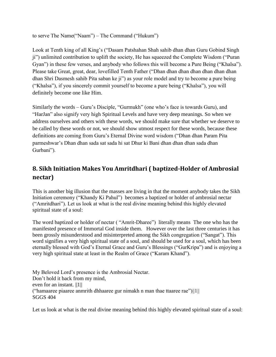to serve The Name("Naam") – The Command ("Hukum")

Look at Tenth king of all King's ("Dasam Patshahan Shah sahib dhan dhan Guru Gobind Singh ji") unlimited contribution to uplift the society, He has squeezed the Complete Wisdom ("Puran Gyan") in these few verses, and anybody who follows this will become a Pure Being ("Khalsa"). Please take Great, great, dear, lovefilled Tenth Father ("Dhan dhan dhan dhan dhan dhan dhan dhan Shri Dasmesh sahib Pita saban ke ji") as your role model and try to become a pure being ("Khalsa"), if you sincerely commit yourself to become a pure being ("Khalsa"), you will definitely become one like Him.

Similarly the words – Guru's Disciple, "Gurmukh" (one who's face is towards Guru), and "HarJan" also signify very high Spiritual Levels and have very deep meanings. So when we address ourselves and others with these words, we should make sure that whether we deserve to be called by these words or not, we should show utmost respect for these words, because these definitions are coming from Guru's Eternal Divine word wisdom ("Dhan dhan Param Pita parmeshwar's Dhan dhan sada sat sada hi sat Dhur ki Bani dhan dhan dhan sada dhan Gurbani").

## <span id="page-29-0"></span>**8. Sikh Initiation Makes You Amritdhari ( baptized-Holder of Ambrosial nectar)**

This is another big illusion that the masses are living in that the moment anybody takes the Sikh Initiation ceremony ("Khandy Ki Pahul") becomes a baptized or holder of ambrosial nectar ("Amritdhari"). Let us look at what is the real divine meaning behind this highly elevated spiritual state of a soul:

The word baptized or holder of nectar ( "Amrit-Dharee") literally means The one who has the manifested presence of Immortal God inside them. However over the last three centuries it has been grossly misunderstood and misinterpreted among the Sikh congregation ("Sangat"). This word signifies a very high spiritual state of a soul, and should be used for a soul, which has been eternally blessed with God's Eternal Grace and Guru's Blessings ("GurKripa") and is enjoying a very high spiritual state at least in the Realm of Grace ("Karam Khand").

My Beloved Lord's presence is the Ambrosial Nectar. Don't hold it back from my mind, even for an instant. ||1|| ("hamaaree piaaree anmrith dhhaaree gur nimakh n man thae ttaaree rae")||1|| SGGS 404

Let us look at what is the real divine meaning behind this highly elevated spiritual state of a soul: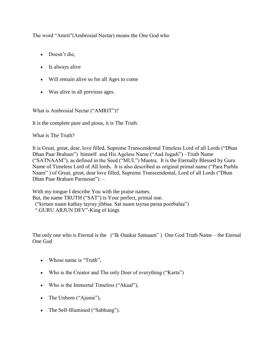The word "Amrit"(Ambrosial Nectar) means the One God who

- Doesn't die,
- Is always alive
- Will remain alive so for all Ages to come
- Was alive in all previous ages.

What is Ambrosial Nectar ("AMRIT")?

It is the complete pure and pious, it is The Truth.

What is The Truth?

It is Great, great, dear, love filled, Supreme Transcendental Timeless Lord of all Lords ("Dhan Dhan Paar Braham") himself and His Ageless Name ("Aad Jugadi") –Truth Name ("SATNAAM"), as defined in the Seed ("MUL") Mantra. It is the Eternally Blessed by Guru Name of Timeless Lord of All lords. It is also described as original primal name ("Para Purbla Naam" ) of Great, great, dear love filled, Supreme Transcendental, Lord of all Lords ("Dhan Dhan Paar Braham Parmesar"): –

With my tongue I describe You with the praise names. But, the name TRUTH ("SAT") is Your perfect, primal one. ("kirtam naam kathay tayray jihbaa. Sat naam tayraa paraa poorbalaa") ".GURU ARJUN DEV"-King of kings

The only one who is Eternal is the ("Ik Oankar Satnaam" ) One God Truth Name – the Eternal One God

- Whose name is "Truth",
- Who is the Creator and The only Doer of everything ("Karta")
- Who is the Immortal Timeless ("Akaal"),
- The Unborn ("Ajunie"),
- The Self-Illumined ("Sabhung").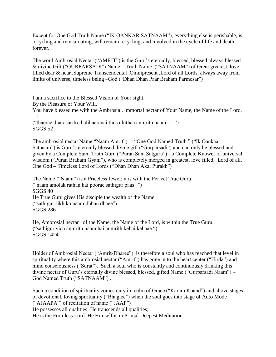Except for One God Truth Name ("IK OANKAR SATNAAM"), everything else is perishable, is recycling and reincarnating, will remain recycling, and involved in the cycle of life and death forever.

The word Ambrosial Nectar ("AMRIT") is the Guru's eternally, blessed, blessed always blessed & divine Gift ("GURPARSADI") Name – Truth Name ("SATNAAM") of Great greatest, love filled dear & near ,Supreme Transcendental ,Omnipresent ,Lord of all Lords, always away from limits of universe, timeless being –God ("Dhan Dhan Paar Braham Parmesar")

I am a sacrifice to the Blessed Vision of Your sight.

By the Pleasure of Your Will,

You have blessed me with the Ambrosial, immortal nectar of Your Name, the Name of the Lord.  $||1||$ 

("thaerae dharasan ko balihaaranai thus dhithaa anmrith naam ||1||") SGGS 52

The ambrosial nectar Name "Naam Amrit") – "One God Named Truth " ("Ik Oankaar Satnaam") is Guru's eternally blessed divine gift ("Gurparsadi") and can only be blessed and given by a Complete Saint Truth Guru ("Puran Sant Satguru") - a Complete Knower of universal wisdom ("Puran Braham Gyani"), who is completely merged in greatest, love filled, Lord of all, One God – Timeless Lord of Lords ("Dhan Dhan Akal Purakh")

The Name ("Naam") is a Priceless Jewel; it is with the Perfect True Guru. ("naam amolak rathan hai poorae sathigur paas ||") SGGS 40 He True Guru gives His disciple the wealth of the Name. ("sathigur sikh ko naam dhhan dhaee") SGGS 286

He, Ambrosial nectar of the Name, the Name of the Lord, is within the True Guru. **("**sathigur vich anmrith naam hai anmrith kehai kehaae ") SGGS 1424

Holder of Ambrosial Nectar ("Amrit-Dharee") is therefore a soul who has reached that level in spirituality where this ambrosial nectar ("Amrit") has gone in to the heart center ("Hirda") and mind consciousness ("Surat"). Such a soul who is constantly and continuously drinking this divine nectar of Guru's eternally divine blessed, blessed, gifted Name ("Gurparsadi Naam") – God Named Truth ("SATNAAM") .

Such a condition of spirituality comes only in realm of Grace ("Karam Khand") and above stages of devotional, loving spirituality ("Bhagtee") when the soul goes into stage **of** Auto Mode ("AJAAPA") of recitation of name ("JAAP")

He possesses all qualities; He transcends all qualities;

He is the Formless Lord. He Himself is in Primal Deepest Meditation.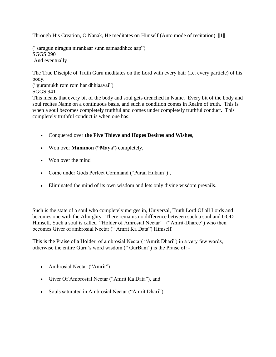Through His Creation, O Nanak, He meditates on Himself (Auto mode of recitation). ||1||

("saragun niragun nirankaar sunn samaadhhee aap") SGGS 290 And eventually

The True Disciple of Truth Guru meditates on the Lord with every hair (i.e. every particle) of his body.

("guramukh rom rom har dhhiaavai") SGGS 941

This means that every bit of the body and soul gets drenched in Name. Every bit of the body and soul recites Name on a continuous basis, and such a condition comes in Realm of truth. This is when a soul becomes completely truthful and comes under completely truthful conduct. This completely truthful conduct is when one has:

- Conquered over **the Five Thieve and Hopes Desires and Wishes**,
- Won over **Mammon ("Maya')** completely,
- Won over the mind
- Come under Gods Perfect Command ("Puran Hukam"),
- Eliminated the mind of its own wisdom and lets only divine wisdom prevails.

Such is the state of a soul who completely merges in, Universal, Truth Lord Of all Lords and becomes one with the Almighty. There remains no difference between such a soul and GOD Himself. Such a soul is called "Holder of Amrosial Nectar" ("Amrit-Dharee") who then becomes Giver of ambrosial Nectar (" Amrit Ka Data") Himself.

This is the Praise of a Holder of ambrosial Nectar( "Amrit Dhari") in a very few words, otherwise the entire Guru's word wisdom (" GurBani") is the Praise of: -

- Ambrosial Nectar ("Amrit")
- Giver Of Ambrosial Nectar ("Amrit Ka Data"), and
- Souls saturated in Ambrosial Nectar ("Amrit Dhari")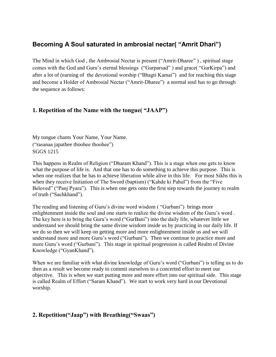## <span id="page-33-0"></span>**Becoming A Soul saturated in ambrosial nectar( "Amrit Dhari")**

The Mind in which God , the Ambrosial Nectar is present ("Amrit-Dharee" ) , spiritual stage comes with the God and Guru's eternal blessings ("Gurparsad" ) and grace( "GurKirpa") and after a lot of (earning of the devotional worship ("Bhagti Kamai") and for reaching this stage and become a Holder of Ambrosial Nectar ("Amrit-Dharee") a normal soul has to go through the sequence as follows:

## <span id="page-33-1"></span>**1. Repetition of the Name with the tongue( "JAAP")**

My tongue chants Your Name, Your Name. ("rasanaa japathee thoohee thoohee") SGGS 1215

This happens in Realm of Religion ("Dharam Khand"). This is a stage when one gets to know what the purpose of life is. And that one has to do something to achieve this purpose. This is when one realizes that he has to achieve liberation while alive in this life. For most Sikhs this is when they receive Initiation of The Sword (baptism) ("Kahde ki Pahul") from the "Five Beloved" ("Panj Pyara"). This is when one gets onto the first step towards the journey to realm of truth ("Sachkhand").

The reading and listening of Guru's divine word wisdom ( "Gurbani") brings more enlightenment inside the soul and one starts to realize the divine wisdom of the Guru's word . The key here is to bring the Guru's word ("GurBani") into the daily life, whatever little we understand we should bring the same divine wisdom inside us by practicing in our daily life. If we do so then we will keep on getting more and more enlightenment inside us and we will understand more and more Guru's word ("Gurbani"). Then we continue to practice more and more Guru's word ("Gurbani"). This stage in spiritual progression is called Realm of Divine Knowledge ("GyanKhand").

When we are familiar with what divine knowledge of Guru's word ("Gurbani") is telling us to do then as a result we become ready to commit ourselves to a concerted effort to meet our objective. This is when we start putting more and more effort into our spiritual side. This stage is called Realm of Effort ("Saram Khand"). We start to work very hard in our Devotional worship.

## <span id="page-33-2"></span>**2. Repetition("Jaap") with Breathing("Swaas")**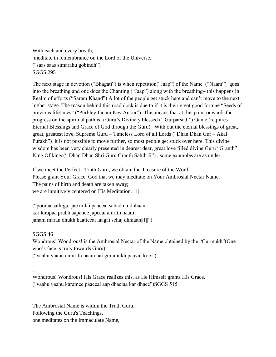With each and every breath, meditate in remembrance on the Lord of the Universe. ("saas saas simarahu gobindh") SGGS 295

The next stage in devotion ("Bhagati") is when repetition("Jaap") of the Name ("Naam") goes into the breathing and one does the Chanting ("Jaap") along with the breathing– this happens in Realm of efforts ("Saram Khand") A lot of the people get stuck here and can't move to the next higher stage. The reason behind this roadblock is due to if it is their great good fortune "Seeds of previous lifetimes" ("Purbley Janam Key Ankur") This means that at this point onwards the progress on the spiritual path is a Guru's Divinely blessed (" Gurparsadi") Game (requires Eternal Blessings and Grace of God through the Guru). With out the eternal blessings of great, great, greatest love, Supreme Guru – Timeless Lord of all Lords ("Dhan Dhan Gur – Akal Purakh") it is not possible to move further, so most people get stuck over here. This divine wisdom has been very clearly presented in dearest dear, great love filled divine Guru "Granth" King Of kings(" Dhan Dhan Shri Guru Granth Sahib Ji") , some examples are as under:

If we meet the Perfect Truth Guru, we obtain the Treasure of the Word. Please grant Your Grace, God that we may meditate on Your Ambrosial Nectar Name. The pains of birth and death are taken away; we are intuitively centered on His Meditation. ||1||

("pooraa sathigur jae milai paaeeai sabadh nidhhaan kar kirapaa prabh aapanee japeeai amrith naam janam maran dhukh kaatteeai laagai sehaj dhhiaan||1||")

SGGS 46

.

Wondrous! Wondrous! is the Ambrosial Nectar of the Name obtained by the "Gurmukh"(One who's face is truly towards Guru).

("vaahu vaahu anmrith naam hai guramukh paavai koe ")

Wondrous! Wondrous! His Grace realizes this, as He Himself grants His Grace. ("vaahu vaahu karamee paaeeai aap dhaeiaa kar dhaee")SGGS 515

The Ambrosial Name is within the Truth Guru. Following the Guru's Teachings, one meditates on the Immaculate Name,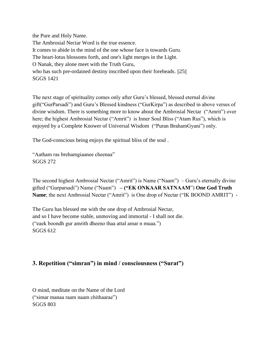the Pure and Holy Name. The Ambrosial Nectar Word is the true essence. It comes to abide in the mind of the one whose face is towards Guru. The heart-lotus blossoms forth, and one's light merges in the Light. O Nanak, they alone meet with the Truth Guru, who has such pre-ordained destiny inscribed upon their foreheads.  $||25||$ SGGS 1421

The next stage of spirituality comes only after Guru's blessed, blessed eternal divine gift("GurParsadi") and Guru's Blessed kindness ("GurKirpa") as described in above verses of divine wisdom. There is something more to know about the Ambrosial Nectar ("Amrit") over here; the highest Ambrosial Nectar ("Amrit") is Inner Soul Bliss ("Atam Rus"), which is enjoyed by a Complete Knower of Universal Wisdom ("Puran BrahamGyani") only.

The God-conscious being enjoys the spiritual bliss of the soul .

"Aatham ras brehamgiaanee cheenaa" SGGS 272

The second highest Ambrosial Nectar ("Amrit") is Name ("Naam") – Guru's eternally divine gifted ("Gurparsadi") Name ("Naam") **– ("EK ONKAAR SATNAAM**") **One God Truth Name**; the next Ambrosial Nectar ("Amrit") is One drop of Nectar ("IK BOOND AMRIT") -

The Guru has blessed me with the one drop of Ambrosial Nectar, and so I have become stable, unmoving and immortal - I shall not die. ("eaek boondh gur amrith dheeno thaa attal amar n muaa.") SGGS 612

## <span id="page-35-0"></span>**3. Repetition ("simran") in mind / consciousness ("Surat")**

O mind, meditate on the Name of the Lord ("simar manaa raam naam chithaarae") SGGS 803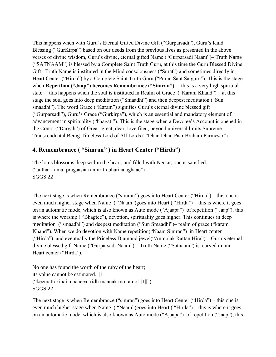This happens when with Guru's Eternal Gifted Divine Gift ("Gurparsadi"), Guru's Kind Blessing ("GurKirpa") based on our deeds from the previous lives as presented in the above verses of divine wisdom, Guru's divine, eternal gifted Name ("Gurparsadi Naam")– Truth Name ("SATNAAM") is blessed by a Complete Saint Truth Guru, at this time the Guru Blessed Divine Gift– Truth Name is instituted in the Mind consciousness ("Surat") and sometimes directly in Heart Center ("Hirda") by a Complete Saint Truth Guru ("Puran Sant Satguru"). This is the stage when **Repetition ("Jaap") becomes Remembrance ("Simran")** – this is a very high spiritual state – this happens when the soul is instituted in Realm of Grace ("Karam Khand") – at this stage the soul goes into deep meditation ("Smaadhi") and then deepest meditation ("Sun smaadhi"). The word Grace ("Karam") signifies Guru's eternal divine blessed gift ("Gurparsadi"), Guru's Grace ("Gurkirpa"), which is an essential and mandatory element of advancement in spirituality ("bhagati"). This is the stage when a Devotee's Account is opened in the Court ("Dargah") of Great, great, dear, love filed, beyond universal limits Supreme Transcendental Being-Timeless Lord of All Lords ( "Dhan Dhan Paar Braham Parmesar").

## <span id="page-36-0"></span>**4. Remembrance ( "Simran" ) in Heart Center ("Hirda")**

The lotus blossoms deep within the heart, and filled with Nectar, one is satisfied. ("anthar kamal pragaasiaa anmrith bhariaa aghaae") SGGS 22

The next stage is when Remembrance ("simran") goes into Heart Center ("Hirda") – this one is even much higher stage when Name ( "Naam")goes into Heart ( "Hirda") – this is where it goes on an automatic mode, which is also known as Auto mode ("Ajaapa") of repetition ("Jaap"), this is where the worship ( "Bhagtee"), devotion, spirituality goes higher. This continues in deep meditation ("smaadhi") and deepest meditation ("Sun Smaadhi")– realm of grace ("karam Khand"). When we do devotion with Name repetition("Naam Simran") in Heart center ("Hirda"), and eventually the Priceless Diamond jewel("Anmolak Rattan Hira") – Guru's eternal divine blessed gift Name ("Gurparsadi Naam") – Truth Name ("Satnaam") is carved in our Heart center ("Hirda").

No one has found the worth of the ruby of the heart; its value cannot be estimated. ||1|| ("keemath kinai n paaeeai ridh maanak mol amol ||1||") SGGS 22

The next stage is when Remembrance ("simran") goes into Heart Center ("Hirda") – this one is even much higher stage when Name ( "Naam")goes into Heart ( "Hirda") – this is where it goes on an automatic mode, which is also known as Auto mode ("Ajaapa") of repetition ("Jaap"), this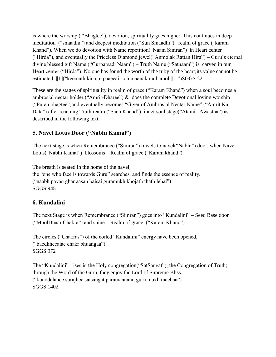is where the worship ( "Bhagtee"), devotion, spirituality goes higher. This continues in deep meditation ("smaadhi") and deepest meditation ("Sun Smaadhi")– realm of grace ("karam Khand"). When we do devotion with Name repetition("Naam Simran") in Heart center ("Hirda"), and eventually the Priceless Diamond jewel("Anmolak Rattan Hira") – Guru's eternal divine blessed gift Name ("Gurparsadi Naam") – Truth Name ("Satnaam") is carved in our Heart center ("Hirda"). No one has found the worth of the ruby of the heart;its value cannot be estimated. ||1||("keemath kinai n paaeeai ridh maanak mol amol ||1||")SGGS 22

These are the stages of spirituality in realm of grace ("Karam Khand") when a soul becomes a ambrosial nectar holder ("Amrit-Dharee")  $\&$  does the complete Devotional loving worship ("Puran bhagtee")and eventually becomes "Giver of Ambrosial Nectar Name" ("Amrit Ka Data") after reaching Truth realm ("Sach Khand"), inner soul stage("Atamik Awastha") as described in the following text.

## <span id="page-37-0"></span>**5. Navel Lotus Door ("Nabhi Kamal")**

The next stage is when Remembrance ("Simran") travels to navel("Nabhi") door, when Navel Lotus("Nabhi Kamal") blossoms – Realm of grace ("Karam khand").

The breath is seated in the home of the navel; the "one who face is towards Guru" searches, and finds the essence of reality. ("naabh pavan ghar aasan baisai guramukh khojath thath lehai") SGGS 945

## <span id="page-37-1"></span>**6. Kundalini**

The next Stage is when Remembrance ("Simran") goes into "Kundalini" – Seed Base door ("MoolDhaar Chakra") and spine – Realm of grace ("Karam Khand")

The circles ("Chakras") of the coiled "Kundalini" energy have been opened, ("baedhheealae chakr bhuangaa") SGGS 972

The "Kundalini" rises in the Holy congregation("SatSangat"), the Congregation of Truth; through the Word of the Guru, they enjoy the Lord of Supreme Bliss. ("kunddalanee surajhee satsangat paramaanand guru mukh machaa") SGGS 1402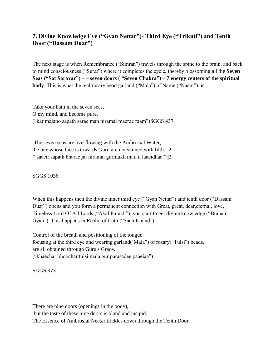## <span id="page-38-0"></span>**7. Divine Knowledge Eye ("Gyan Nettar")- Third Eye ("Trikuti") and Tenth Door ("Dassam Duar")**

The next stage is when Remembrance ("Simran") travels through the spine to the brain, and back to mind consciousness ("Surat") where it completes the cycle, thereby blossoming all the **Seven Seas ("Sat Sarovar") – – seven doors ( "Seven Chakra") – 7 energy centers of the spiritual body**. This is what the real rosary bead garland ("Mala") of Name ("Naam") is.

Take your bath in the seven seas, O my mind, and become pure. ("kar majano sapath sarae man niramal maerae raam")SGGS 437

The seven seas are overflowing with the Ambrosial Water; the one whose face is towards Guru are not stained with filth. ||2|| ("saaeir sapath bharae jal niramal gurmukh mail n laaeidhaa")||2||

SGGS 1036

When this happens then the divine inner third eye ("Gyan Nettar") and tenth door ("Dassam Duar") opens and you form a permanent connection with Great, great, dear,eternal, love, Timeless Lord Of All Lords ("Akal Purakh"), you start to get divine knowledge ("Braham Gyan"). This happens in Realm of truth ("Sach Khand")

Control of the breath and positioning of the tongue, focusing at the third eye and wearing garland('Mala") of rosary("Tulsi") beads, are all obtained through Guru's Grace. ("khaechar bhoochar tulsi mala gur parasadee paaeiaa")

SGGS 973

There are nine doors (openings in the body),

but the taste of these nine doors is bland and insipid.

The Essence of Ambrosial Nectar trickles down through the Tenth Door.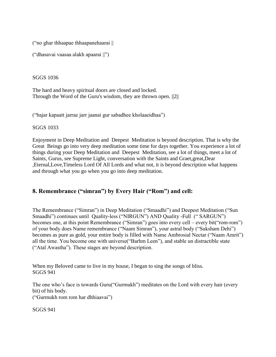("no ghar thhaapae thhaapanehaarai ||

("dhasavai vaasaa alakh apaarai ||")

SGGS 1036

The hard and heavy spiritual doors are closed and locked. Through the Word of the Guru's wisdom, they are thrown open. ||2||

("bajar kapaatt jarrae jarr jaanai gur sabadhee kholaaeidhaa")

SGGS 1033

Enjoyment in Deep Meditation and Deepest Meditation is beyond description. That is why the Great Beings go into very deep meditation some time for days together. You experience a lot of things during your Deep Meditation and Deepest Meditation, see a lot of things, meet a lot of Saints, Gurus, see Supreme Light, conversation with the Saints and Graet,great,Dear ,Eternal,Love,Timeless Lord Of All Lords and what not, it is beyond description what happens and through what you go when you go into deep meditation.

## <span id="page-39-0"></span>**8. Remembrance ("simran") by Every Hair ("Rom") and cell:**

The Remembrance ("Simran") in Deep Meditation ("Smaadhi") and Deepest Meditation ("Sun Smaadhi") continues until Quality-less ("NIRGUN") AND Quality -Full (" SARGUN") becomes one, at this point Remembrance ("Simran") goes into every cell – every bit("rom-rom") of your body does Name remembrance ("Naam Simran"), your astral body ("Suksham Dehi") becomes as pure as gold, your entire body is filled with Name Ambrosial Nectar ("Naam Amrit") all the time. You become one with universe("Barhm Leen"), and stable un distractible state ("Atal Awastha"). These stages are beyond description.

When my Beloved came to live in my house, I began to sing the songs of bliss. SGGS 941

The one who's face is towards Guru("Gurmukh") meditates on the Lord with every hair (every bit) of his body. ("Gurmukh rom rom har dhhiaavai")

SGGS 941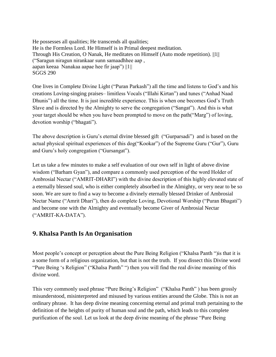He possesses all qualities; He transcends all qualities; He is the Formless Lord. He Himself is in Primal deepest meditation. Through His Creation, O Nanak, He meditates on Himself (Auto mode repetition). ||1|| ("Saragun niragun nirankaar sunn samaadhhee aap , aapan keeaa Nanakaa aapae hee fir jaap") ||1|| SGGS 290

One lives in Complete Divine Light ("Puran Parkash") all the time and listens to God's and his creations Loving-singing praises– limitless Vocals ("Illahi Kirtan") and tunes ("Anhad Naad Dhunis") all the time. It is just incredible experience. This is when one becomes God's Truth Slave and is directed by the Almighty to serve the congregation ("Sangat"). And this is what your target should be when you have been prompted to move on the path("Marg") of loving, devotion worship ("bhagati").

The above description is Guru's eternal divine blessed gift ("Gurparsadi") and is based on the actual physical spiritual experiences of this dog("Kookar") of the Supreme Guru ("Gur"), Guru and Guru's holy congregation ("Gursangat").

Let us take a few minutes to make a self evaluation of our own self in light of above divine wisdom ("Barham Gyan"), and compare a commonly used perception of the word Holder of Ambrosial Nectar ("AMRIT-DHARI") with the divine description of this highly elevated state of a eternally blessed soul, who is either completely absorbed in the Almighty, or very near to be so soon. We are sure to find a way to become a divinely eternally blessed Drinker of Ambrosial Nectar Name ("Amrit Dhari"), then do complete Loving, Devotional Worship ("Puran Bhagati") and become one with the Almighty and eventually become Giver of Ambrosial Nectar ("AMRIT-KA-DATA").

## <span id="page-40-0"></span>**9. Khalsa Panth Is An Organisation**

Most people's concept or perception about the Pure Being Religion ("Khalsa Panth ")is that it is a some form of a religious organization, but that is not the truth. If you dissect this Divine word "Pure Being 's Religion" ("Khalsa Panth" ") then you will find the real divine meaning of this divine word.

This very commonly used phrase "Pure Being's Religion" ("Khalsa Panth" ) has been grossly misunderstood, misinterpreted and misused by various entities around the Globe. This is not an ordinary phrase. It has deep divine meaning concerning eternal and primal truth pertaining to the definition of the heights of purity of human soul and the path, which leads to this complete purification of the soul. Let us look at the deep divine meaning of the phrase "Pure Being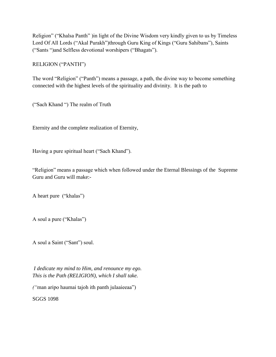Religion" ("Khalsa Panth" )in light of the Divine Wisdom very kindly given to us by Timeless Lord Of All Lords ("Akal Purakh")through Guru King of Kings ("Guru Sahibans"), Saints ("Sants ")and Selfless devotional worshipers ("Bhagats").

RELIGION ("PANTH")

The word "Religion" ("Panth") means a passage, a path, the divine way to become something connected with the highest levels of the spirituality and divinity. It is the path to

("Sach Khand ") The realm of Truth

Eternity and the complete realization of Eternity,

Having a pure spiritual heart ("Sach Khand").

"Religion" means a passage which when followed under the Eternal Blessings of the Supreme Guru and Guru will make:-

A heart pure ("khalas")

A soul a pure ("Khalas")

A soul a Saint ("Sant") soul.

*I dedicate my mind to Him, and renounce my ego. This is the Path (RELIGION), which I shall take.*

*("*man aripo haumai tajoh ith panth julaaieeaa")

SGGS 1098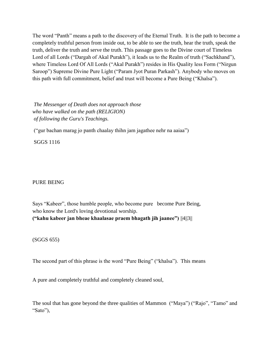The word "Panth" means a path to the discovery of the Eternal Truth. It is the path to become a completely truthful person from inside out, to be able to see the truth, hear the truth, speak the truth, deliver the truth and serve the truth. This passage goes to the Divine court of Timeless Lord of all Lords ("Dargah of Akal Purakh"), it leads us to the Realm of truth ("Sachkhand"), where Timeless Lord Of All Lords ("Akal Purakh") resides in His Quality less Form ("Nirgun Saroop") Supreme Divine Pure Light ("Param Jyot Puran Parkash"). Anybody who moves on this path with full commitment, belief and trust will become a Pure Being ("Khalsa").

*The Messenger of Death does not approach those who have walked on the path (RELIGION) of following the Guru's Teachings.*

("gur bachan marag jo panth chaalay thihn jam jagathee nehr na aaiaa")

SGGS 1116

#### PURE BEING

Says "Kabeer", those humble people, who become pure become Pure Being, who know the Lord's loving devotional worship. **("kahu kabeer jan bheae khaalasae praem bhagath jih jaanee")** ||4||3||

(SGGS 655)

The second part of this phrase is the word "Pure Being" ("khalsa"). This means

A pure and completely truthful and completely cleaned soul,

The soul that has gone beyond the three qualities of Mammon ("Maya") ("Rajo", "Tamo" and "Sato"),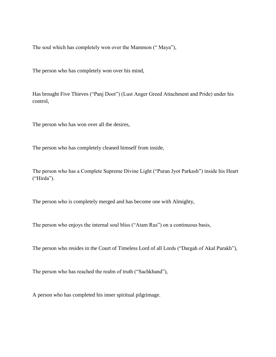The soul which has completely won over the Mammon (" Maya"),

The person who has completely won over his mind,

Has brought Five Thieves ("Panj Doot") (Lust Anger Greed Attachment and Pride) under his control,

The person who has won over all the desires,

The person who has completely cleaned himself from inside,

The person who has a Complete Supreme Divine Light ("Puran Jyot Parkash") inside his Heart ("Hirda").

The person who is completely merged and has become one with Almighty,

The person who enjoys the internal soul bliss ("Atam Rus") on a continuous basis,

The person who resides in the Court of Timeless Lord of all Lords ("Dargah of Akal Purakh"),

The person who has reached the realm of truth ("Sachkhand"),

A person who has completed his inner spiritual pilgrimage.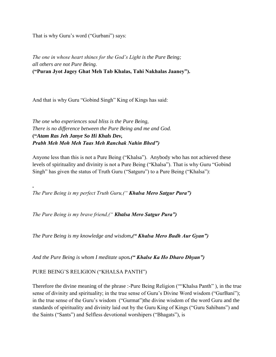That is why Guru's word ("Gurbani") says:

*The one in whose heart shines for the God's Light is the Pure Being; all others are not Pure Being.* **("Puran Jyot Jagey Ghat Meh Tab Khalas, Tahi Nakhalas Jaaney").**

And that is why Guru "Gobind Singh" King of Kings has said:

*The one who experiences soul bliss is the Pure Being, There is no difference between the Pure Being and me and God.* **("***Atam Ras Jeh Janye So Hi Khals Dev, Prabh Meh Moh Meh Taas Meh Ranchak Nahin Bhed")*

Anyone less than this is not a Pure Being ("Khalsa"). Anybody who has not achieved these levels of spirituality and divinity is not a Pure Being ("Khalsa"). That is why Guru "Gobind Singh" has given the status of Truth Guru ("Satguru") to a Pure Being ("Khalsa"):

*The Pure Being is my perfect Truth Guru,(" Khalsa Mero Satgur Pura")*

*The Pure Being is my brave friend,(" Khalsa Mero Satgur Pura")*

*The Pure Being is my knowledge and wisdom,(" Khalsa Mero Budh Aur Gyan")*

*And the Pure Being is whom I meditate upon.(" Khalse Ka Ho Dharo Dhyan")*

PURE BEING'S RELIGION ("KHALSA PANTH")

**.**

Therefore the divine meaning of the phrase :-Pure Being Religion (""Khalsa Panth" ), in the true sense of divinity and spirituality; in the true sense of Guru's Divine Word wisdom ("GurBani"); in the true sense of the Guru's wisdom ("Gurmat")the divine wisdom of the word Guru and the standards of spirituality and divinity laid out by the Guru King of Kings ("Guru Sahibans") and the Saints ("Sants") and Selfless devotional worshipers ("Bhagats"), is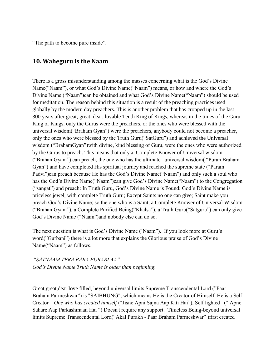"The path to become pure inside".

## <span id="page-45-0"></span>**10. Waheguru is the Naam**

There is a gross misunderstanding among the masses concerning what is the God's Divine Name("Naam"), or what God's Divine Name("Naam") means, or how and where the God's Divine Name ("Naam")can be obtained and what God's Divine Name("Naam") should be used for meditation. The reason behind this situation is a result of the preaching practices used globally by the modern day preachers. This is another problem that has cropped up in the last 300 years after great, great, dear, lovable Tenth King of Kings, whereas in the times of the Guru King of Kings, only the Gurus were the preachers, or the ones who were blessed with the universal wisdom("Braham Gyan") were the preachers, anybody could not become a preacher, only the ones who were blessed by the Truth Guru("SatGuru") and achieved the Universal wisdom ("BrahamGyan")with divine, kind blessing of Guru, were the ones who were authorized by the Gurus to preach. This means that only a, Complete Knower of Universal wisdom ("BrahamGyani") can preach, the one who has the ultimate– universal wisdom( "Puran Braham Gyan") and have completed His spiritual journey and reached the supreme state ("Param Padvi")can preach because He has the God's Divine Name("Naam") and only such a soul who has the God's Divine Name("Naam")can give God's Divine Name("Naam") to the Congregation ("sangat") and preach: In Truth Guru, God's Divine Name is Found; God's Divine Name is priceless jewel, with complete Truth Guru; Except Saints no one can give; Saint make you preach God's Divine Name; so the one who is a Saint, a Complete Knower of Universal Wisdom ("BrahamGyani"), a Complete Purified Being("Khalsa"), a Truth Guru("Satguru") can only give God's Divine Name ("Naam")and nobody else can do so.

The next question is what is God's Divine Name ('Naam"). If you look more at Guru's word("Gurbani") there is a lot more that explains the Glorious praise of God's Divine Name("Naam") as follows.

"*SATNAAM TERA PARA PURABLAA" God's Divine Name Truth Name is older than beginning.*

Great,great,dear love filled, beyond universal limits Supreme Transcendental Lord ("Paar Braham Parmeshwar") is "SAIBHUNG", which means He is the Creator of Himself, He is a Self Creator *– One who has created himself* ("Jisne Apni Sajna Aap Kiti Hai"), Self lighted –(" Apne Sahare Aap Parkashmaan Hai ") Doesn't require any support. Timeless Being-beyond universal limits Supreme Transcendental Lord("Akal Purakh - Paar Braham Parmeshwar" )first created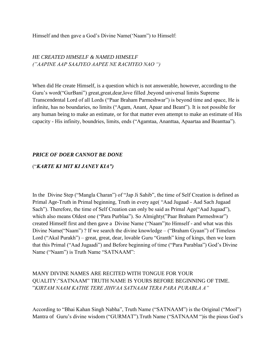Himself and then gave a God's Divine Name('Naam") to Himself:

*HE CREATED HIMSELF & NAMED HIMSELF ("AAPINE AAP SAAJYEO AAPEE NE RACHYEO NAO ")*

When did He create Himself, is a question which is not answerable, however, according to the Guru's word("GurBani") great,great,dear,love filled ,beyond universal limits Supreme Transcendental Lord of all Lords ("Paar Braham Parmeshwar") is beyond time and space, He is infinite, has no boundaries, no limits ("Agam, Anant, Apaar and Beant"). It is not possible for any human being to make an estimate, or for that matter even attempt to make an estimate of His capacity - His infinity, boundries, limits, ends ("Agamtaa, Ananttaa, Apaartaa and Beanttaa").

#### *PRICE OF DOER CANNOT BE DONE*

#### ("*KARTE KI MIT KI JANEY KIA")*

In the Divine Step ("Mangla Charan") of "Jap Ji Sahib", the time of Self Creation is defined as Primal Age-Truth in Primal beginning, Truth in every age( "Aad Jugaad - Aad Sach Jugaad Sach"). Therefore, the time of Self Creation can only be said as Primal Age("Aad Jugaad"), which also means Oldest one ("Para Purblaa"). So Almighty("Paar Braham Parmeshwar") created Himself first and then gave a Divine Name ("Naam")to Himself - and what was this Divine Name("Naam") ? If we search the divine knowledge – ("Braham Gyaan") of Timeless Lord ("Akal Purakh") – great, great, dear, lovable Guru "Granth" king of kings, then we learn that this Primal ("Aad Jugaadi") and Before beginning of time ("Para Purablaa") God's Divine Name ("Naam") is Truth Name "SATNAAM":

#### MANY DIVINE NAMES ARE RECITED WITH TONGUE FOR YOUR QUALITY:"SATNAAM" TRUTH NAME IS YOURS BEFORE BEGINNING OF TIME. "*KIRTAM NAAM KATHE TERE JIHVAA SATNAAM TERA PARA PURABLA A"*

According to "Bhai Kahan Singh Nabha", Truth Name ("SATNAAM") is the Original ("Mool") Mantra of Guru's divine wisdom ("GURMAT").Truth Name ("SATNAAM ")is the pious God's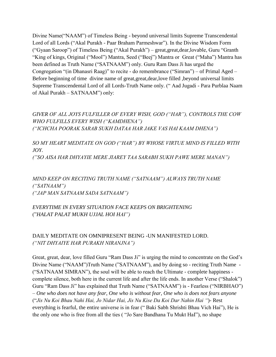Divine Name("NAAM") of Timeless Being - beyond universal limits Supreme Transcendental Lord of all Lords ("Akal Purakh - Paar Braham Parmeshwar"). In the Divine Wisdom Form ("Gyaan Saroop") of Timeless Being ("Akal Purakh") – great,great,dear,lovable, Guru "Granth "King of kings, Original ("Mool") Mantra, Seed ("Beej") Mantra or Great ("Maha") Mantra has been defined as Truth Name ("SATNAAM") only. Guru Ram Dass Ji has urged the Congregation "(in Dhanasri Raag)" to recite - do remembrance ("Simran") – of Primal Aged – Before beginning of time divine name of great, great, dear, love filled, beyond universal limits Supreme Transcendental Lord of all Lords-Truth Name only. (" Aad Jugadi - Para Purblaa Naam of Akal Purakh – SATNAAM") only:

*GIVER OF ALL JOYS FULFILLER OF EVERY WISH, GOD ("HAR"), CONTROLS THE COW WHO FULFILLS EVERY WISH ("KAMDHENA") ("ICHCHA POORAK SARAB SUKH DATAA HAR JAKE VAS HAI KAAM DHENA")*

*SO MY HEART MEDITATE ON GOD ("HAR") BY WHOSE VIRTUE MIND IS FILLED WITH JOY. ("SO AISA HAR DHYAYIE MERE JIAREY TAA SARABH SUKH PAWE MERE MANAN")*

*MIND KEEP ON RECITING TRUTH NAME ("SATNAAM") ALWAYS TRUTH NAME ("SATNAAM") ("JAP MAN SATNAAM SADA SATNAAM")*

#### *EVERYTIME IN EVERY SITUATION FACE KEEPS ON BRIGHTENING* ("*HALAT PALAT MUKH UJJAL HOI HAI")*

#### DAILY MEDITATE ON OMNIPRESENT BEING -UN MANIFESTED LORD. *("NIT DHYAIYE HAR PURAKH NIRANJNA")*

Great, great, dear, love filled Guru "Ram Dass Ji" is urging the mind to concentrate on the God's Divine Name ("NAAM")Truth Name ("SATNAAM"), and by doing so - reciting Truth Name - ("SATNAAM SIMRAN"), the soul will be able to reach the Ultimate - complete happiness complete silence, both here in the current life and after the life ends. In another Verse ("Shalok") Guru "Ram Dass Ji" has explained that Truth Name ("SATNAAM") is - Fearless ("NIRBHAO") – *One who does not have any fear, One who is without fear, One who is does not fears anyone* ("*Jis Nu Koi Bhau Nahi Hai, Jo Nidar Hai, Jis Nu Kise Da Koi Dar Nahin Hai "*)- Rest everything is fearful, the entire universe is in fear (" Baki Sabh Shrishti Bhau Vich Hai"), He is the only one who is free from all the ties ( "Jo Sare Bandhana Tu Mukt HaI"), no shape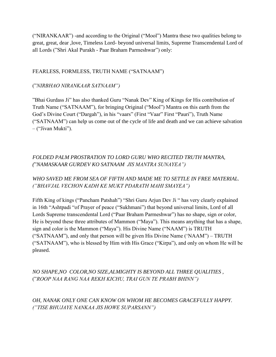("NIRANKAAR") -and according to the Original ("Mool") Mantra these two qualities belong to great, great, dear ,love, Timeless Lord- beyond universal limits, Supreme Transcendental Lord of all Lords ("Shri Akal Purakh - Paar Braham Parmeshwar") only:

#### FEARLESS, FORMLESS, TRUTH NAME ("SATNAAM")

#### ("*NIRBHAO NIRANKAAR SATNAAM")*

"Bhai Gurdass Ji" has also thanked Guru "Nanak Dev" King of Kings for His contribution of Truth Name ("SATNAAM"), for bringing Original ("Mool") Mantra on this earth from the God's Divine Court ("Dargah"), in his "vaars" (First "Vaar" First "Pauri"), Truth Name ("SATNAAM") can help us come out of the cycle of life and death and we can achieve salvation – ("Jivan Mukti").

## *FOLDED PALM PROSTRATION TO LORD GURU WHO RECITED TRUTH MANTRA, (*"*NAMASKAAR GURDEV KO SATNAAM JIS MANTRA SUNAYEA")*

## *WHO SAVED ME FROM SEA OF FIFTH AND MADE ME TO SETTLE IN FREE MATERIAL. ("BHAVJAL VECHON KADH KE MUKT PDARATH MAHI SMAYEA")*

Fifth King of kings ("Pancham Patshah") "Shri Guru Arjun Dev Ji " has very clearly explained in 16th "Ashtpadi "of Prayer of peace ("Sukhmani") that beyond universal limits, Lord of all Lords Supreme transcendental Lord ("Paar Braham Parmeshwar") has no shape, sign or color, He is beyond these three attributes of Mammon ("Maya"). This means anything that has a shape, sign and color is the Mammon ("Maya"). His Divine Name ("NAAM") is TRUTH ("SATNAAM"), and only that person will be given His Divine Name ('NAAM") – TRUTH ("SATNAAM"), who is blessed by Him with His Grace ("Kirpa"), and only on whom He will be pleased.

## *NO SHAPE,NO COLOR,NO SIZE,ALMIGHTY IS BEYOND ALL THREE QUALITIES ,* ("*ROOP NAA RANG NAA REKH KICHU, TRAI GUN TE PRABH BHINN")*

*OH, NANAK ONLY ONE CAN KNOW ON WHOM HE BECOMES GRACEFULLY HAPPY. ("TISE BHUJAYE NANKAA JIS HOWE SUPARSANN")*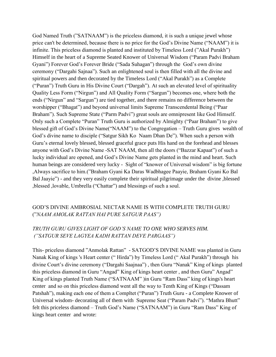God Named Truth ("SATNAAM") is the priceless diamond, it is such a unique jewel whose price can't be determined, because there is no price for the God's Divine Name ("NAAM") it is infinite. This priceless diamond is planted and instituted by Timeless Lord ("Akal Purakh") Himself in the heart of a Supreme Seated Knower of Universal Wisdom ("Param Padvi Braham Gyani") Forever God's Forever Bride ("Sada Suhagan") through the God's own divine ceremony ("Dargahi Sajnaa"). Such an enlightened soul is then filled with all the divine and spiritual powers and then decorated by the Timeless Lord ("Akal Purakh") as a Complete ("Puran") Truth Guru in His Divine Court ("Dargah"). At such an elevated level of spirituality Quality Less Form ("Nirgun") and All Quality Form ("Sargun") becomes one, where both the ends ("Nirgun" and "Sargun") are tied together, and there remains no difference between the worshipper ("Bhagat") and beyond universal limits Supreme Transcendental Being ("Paar Braham"). Such Supreme State ("Parm Padvi") great souls are omnipresent like God Himself. Only such a Complete "Puran" Truth Guru is authorized by Almighty ("Paar Braham") to give blessed gift of God's Divine Name("NAAM") to the Congregation – Truth Guru gives wealth of God's divine name to disciple ("Satgur Sikh Ko Naam Dhan De"). When such a person with Guru's eternal lovely blessed, blessed graceful grace puts His hand on the forehead and blesses anyone with God's Divine Name -SAT NAAM, then all the doors ("Bazzar Kapaat") of such a lucky individual are opened, and God's Divine Name gets planted in the mind and heart. Such human beings are considered very lucky - Sight of "knower of Universal wisdom" is big fortune ,Always sacrifice to him.("Braham Gyani Ka Daras Wadbhagee Paayie, Braham Gyani Ko Bal Bal Jaayie") - and they very easily complete their spiritual pilgrimage under the divine ,blessed ,blessed ,lovable, Umbrella ("Chattar") and blessings of such a soul.

#### GOD'S DIVINE AMBROSIAL NECTAR NAME IS WITH COMPLETE TRUTH GURU ("*NAAM AMOLAK RATTAN HAI PURE SATGUR PAAS")*

#### *TRUTH GURU GIVES LIGHT OF GOD'S NAME TO ONE WHO SERVES HIM. ("SATGUR SEVE LAGYEA KADH RATTAN DEVE PARGAAS")*

This- priceless diamond "Anmolak Rattan" - SATGOD'S DIVINE NAME was planted in Guru Nanak King of kings 's Heart center (" Hirda") by Timeless Lord (" Akal Purakh") through his divine Court's divine ceremony ("Dargahi Saajnaa") , then Guru "Nanak" King of kings planted this priceless diamond in Guru "Angad" King of kings heart center , and then Guru" Angad" King of kings planted Truth Name ("SATNAAM" )in Guru "Ram Dass" king of kings's heart center and so on this priceless diamond went all the way to Tenth King of Kings ("Dassam Patshah"), making each one of them a Compltet ("Puran") Truth Guru - a Complete Knower of Universal wisdom- decorating all of them with Supreme Seat ("Param Padvi"). "Mathra Bhutt" felt this priceless diamond – Truth God's Name ("SATNAAM") in Guru "Ram Dass" King of kings heart center and wrote: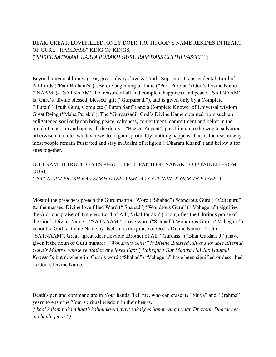DEAR, GREAT, LOVEFILLED, ONLY DOER TRUTH GOD'S NAME RESIDES IN HEART OF GURU "RAMDASS" KING OF KINGS, ("*SHREE SATNAAM KARTA PURAKH GURU RAM DASS CHITHI VASSEH* ")

Beyond universal limits, great, great, always love & Truth, Supreme, Transcendental, Lord of All Lords ("Paar Braham's") , Before beginning of Time ("Para Purblaa") God's Divine Name ("NAAM")- "SATNAAM" the treasure of all and complete happiness and peace. "SATNAAM" is Guru's divine blessed, blessed gift ("Gurparsadi"), and is given only by a Complete ("Puran") Truth Guru, Complete ("Puran Sant") and a Complete Knower of Universal wisdom Great Being ("Maha Purakh"). The "Gurparsadi" God's Divine Name obtained from such an enlightened soul only can bring peace, calmness, contentment, commitment and belief in the mind of a person and opens all the doors – "Bazzar Kapaat", puts him on to the way to salvation, otherwise no matter whatever we do to gain spirituality, nothing happens. This is the reason why most people remain frustrated and stay in Realm of religion ("Dharam Khand") and below it for ages together.

## GOD NAMED TRUTH GIVES PEACE, TRUE FAITH OH NANAK IS OBTAINED FROM GURU

("*SAT NAAM PRABH KAA SUKH DAEE, VISHVAAS SAT NANAK GUR TE PAYEE")*

Most of the preachers preach the Guru mantra Word ("Shabad") Wondrous Guru ( "Vaheguru" )to the masses. Divine love filled Word (" Shabad") "Wondrous Guru" ( "Vaheguru") signifies the Glorious praise of Timeless Lord of All ("Akal Purakh"), it signifies the Glorious praise of the God's Divine Name – "SATNAAM", Love word ("Shabad") Wondrous Guru ("Vaheguru") is not the God's Divine Name by itself, it is the praise of God's Divine Name – Truth "SATNAAM". Great ,great ,dear ,lovable ,Brother of All, "Gurdass" ("Bhai Gurdaas Ji") have given it the noun of Guru mantra: *"Wondrous Guru" is Divine ,Blessed ,always lovable ,Eternal Guru's Mantra ,whose recitation one loses Ego;* ("*Vaheguru Gur Mantra Hai Jap Haumai Khoyee*"); but nowhere in Guru's word ("Shabad") "Vaheguru" have been signified or described as God's Divine Name.

Death's pen and command are in Your hands. Tell me, who can erase it? "Shiva" and "Brahma" yearn to enshrine Your spiritual wisdom in their hearts.

("*kaal kalam hukam haath kahhu ka-un mayt sakai,ees bamm-yu ga-yaan Dhayaan Dharat heeai chaahi jee-o.")*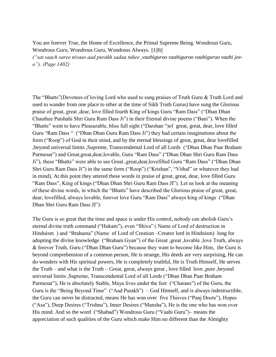You are forever True, the Home of Excellence, the Primal Supreme Being. Wondrous Guru, Wondrous Guru, Wondrous Guru, Wondrous Always. ||1||6||

*("sat saach saree nivaas aad purakh sadaa tuhee* ,*vaahiguroo vaahiguroo vaahiguroo vaahi jeeo"). (Page 1402)*

The "Bhatts"(Devotees of loving Lord who used to sung praises of Truth Guru & Truth Lord and used to wander from one place to other at the time of Sikh Truth Gurus) have sung the Glorious praise of great, great ,dear, love filled fourth King of kings Guru "Ram Dass" ("Dhan Dhan Chauthee Patshahi Shri Guru Ram Dass Ji") in their Eternal divine poems ("Bani"). When the "Bhatts" went to have Pleasurable, bliss full sight ("Darshan ")of great, great, dear, love filled Guru "Ram Dass " ("Dhan Dhan Guru Ram Dass Ji") they had certain imaginations about the form ("Roop") of God in their mind, and by the eternal blessings of great, great, dear lovefilled ,beyond universal limits ,Supreme, Transcendental Lord of all Lords ("Dhan Dhan Paar Braham Parmesar") and Great,great,dear,lovable, Guru "Ram Dass" ("Dhan Dhan Shri Guru Ram Dass Ji"), these "Bhatts" were able to see Great ,great,dear,lovefilled Guru "Ram Dass" ("Dhan Dhan Shri Guru Ram Dass Ji") in the same form ("Roop") ("Krishan", "Vithal" or whatever they had in mind). At this point they uttered these words in praise of great, great, dear, love filled Guru "Ram Dass", King of kings ("Dhan Dhan Shri Guru Ram Dass JI"). Let us look at the meaning of these divine words, in which the "Bhatts" have described the Glorious praise of great, great, dear, lovefilled, always lovable, forever love Guru "Ram Dass" always king of kings ("Dhan Dhan Shri Guru Ram Dass JI"):

The Guru is so great that the time and space is under His control, nobody can abolish Guru's eternal divine truth command ("Hukam"), even "Shiva" ( Name of Lord of destruction in Hinduism ) and "Brahama" (Name of Lord of Creation –Creator lord in Hinduism) long for adopting the divine knowledge ("Braham Gyan") of the Great ,great ,lovable ,love Truth, always & forever Truth, Guru ("Dhan Dhan Guru") because they want to become like Him, the Guru is beyond comprehension of a common person, He is strange, His deeds are very surprising, He can do wonders with His spiritual powers, He is completely truthful, He is Truth Himself, He serves the Truth – and what is the Truth – Great, great, always great , love filled love ,pure ,beyond universal limits ,Supreme, Transcendental Lord of all Lords ("Dhan Dhan Paar Braham Parmesar"), He is absolutely Stable, Maya lives under the feet ("Charans") of the Guru, the Guru is the "Being Beyond Time" ("Aad Purakh") – God Himself, and is always indestructible, the Guru can never be distracted, means He has won over five Thieves ("Panj Doots"), Hopes ("Asa"), Deep Desires ("Trishna"), Inner Desires ("Mansha"), He is the one who has won over His mind. And so the word ("Shabad") Wondrous Guru ("Vaahi Guru")– means the appreciation of such qualities of the Guru which make Him no different than the Almighty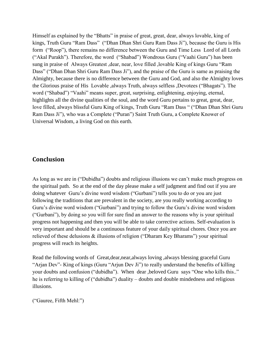Himself as explained by the "Bhatts" in praise of great, great, dear, always lovable, king of kings, Truth Guru "Ram Dass" ("Dhan Dhan Shri Guru Ram Dass Ji"), because the Guru is His form ("Roop"), there remains no difference between the Guru and Time Less Lord of all Lords ("Akal Purakh"). Therefore, the word ("Shabad") Wondrous Guru ("Vaahi Guru") has been sung in praise of Always Greatest ,dear, near, love filled ,lovable King of kings Guru "Ram Dass" ("Dhan Dhan Shri Guru Ram Dass Ji"), and the praise of the Guru is same as praising the Almighty, because there is no difference between the Guru and God, and also the Almighty loves the Glorious praise of His Lovable ,always Truth, always selfless ,Devotees ("Bhagats"). The word ("Shabad") "Vaahi" means super, great, surprising, enlightening, enjoying, eternal, highlights all the divine qualities of the soul, and the word Guru pertains to great, great, dear, love filled, always blissful Guru King of kings, Truth Guru "Ram Dass " ("Dhan Dhan Shri Guru Ram Dass Ji"), who was a Complete ("Puran") Saint Truth Guru, a Complete Knower of Universal Wisdom, a living God on this earth.

## <span id="page-52-0"></span>**Conclusion**

As long as we are in ("Dubidha") doubts and religious illusions we can't make much progress on the spiritual path. So at the end of the day please make a self judgment and find out if you are doing whatever Guru's divine word wisdom ("Gurbani") tells you to do or you are just following the traditions that are prevalent in the society, are you really working according to Guru's divine word wisdom ("Gurbani") and trying to follow the Guru's divine word wisdom ("Gurbani"), by doing so you will for sure find an answer to the reasons why is your spiritual progress not happening and then you will be able to take corrective actions. Self-evaluation is very important and should be a continuous feature of your daily spiritual chores. Once you are relieved of these delusions & illusions of religion ("Dharam Key Bharams") your spiritual progress will reach its heights.

Read the following words of Great,dear,near,always loving ,always blessing graceful Guru "Arjan Dev"- King of kings (Guru "Arjun Dev Ji") to really understand the benefits of killing your doubts and confusion ("dubidha"). When dear ,beloved Guru says "One who kills this.." he is referring to killing of ("dubidha") duality – doubts and double mindedness and religious illusions.

("Gauree, Fifth Mehl:")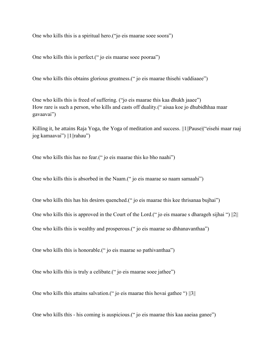One who kills this is a spiritual hero.("jo eis maarae soee soora")

One who kills this is perfect.(" jo eis maarae soee pooraa")

One who kills this obtains glorious greatness.(" jo eis maarae thisehi vaddiaaee")

One who kills this is freed of suffering. ("jo eis maarae this kaa dhukh jaaee") How rare is such a person, who kills and casts off duality.(" aisaa koe jo dhubidhhaa maar gavaavai")

Killing it, he attains Raja Yoga, the Yoga of meditation and success. ||1||Pause|("eisehi maar raaj jog kamaavai") ||1||rahau")

One who kills this has no fear.(" jo eis maarae this ko bho naahi")

One who kills this is absorbed in the Naam.(" jo eis maarae so naam samaahi")

One who kills this has his desires quenched.(" jo eis maarae this kee thrisanaa bujhai")

One who kills this is approved in the Court of the Lord.(" jo eis maarae s dharageh sijhai ") ||2||

One who kills this is wealthy and prosperous.(" jo eis maarae so dhhanavanthaa")

One who kills this is honorable.(" jo eis maarae so pathivanthaa")

One who kills this is truly a celibate.(" jo eis maarae soee jathee")

One who kills this attains salvation.(" jo eis maarae this hovai gathee ") ||3||

One who kills this - his coming is auspicious.(" jo eis maarae this kaa aaeiaa ganee")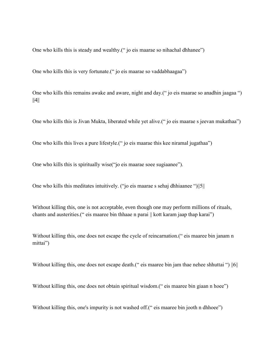One who kills this is steady and wealthy.(" jo eis maarae so nihachal dhhanee")

One who kills this is very fortunate.(" jo eis maarae so vaddabhaagaa")

One who kills this remains awake and aware, night and day.(" jo eis maarae so anadhin jaagaa ")  $||4||$ 

One who kills this is Jivan Mukta, liberated while yet alive.(" jo eis maarae s jeevan mukathaa")

One who kills this lives a pure lifestyle.(" jo eis maarae this kee niramal jugathaa")

One who kills this is spiritually wise("jo eis maarae soee sugiaanee").

One who kills this meditates intuitively. ("jo eis maarae s sehaj dhhiaanee ")||5||

Without killing this, one is not acceptable, even though one may perform millions of rituals, chants and austerities.(" eis maaree bin thhaae n parai || kott karam jaap thap karai")

Without killing this, one does not escape the cycle of reincarnation.<sup>("</sup> eis maaree bin janam n mittai")

Without killing this, one does not escape death.<sup>("</sup> eis maaree bin jam thae nehee shhuttai") ||6||

Without killing this, one does not obtain spiritual wisdom.<sup>("</sup> eis maaree bin giaan n hoee")

Without killing this, one's impurity is not washed off.<sup>\*</sup> eis maaree bin jooth n dhhoee")